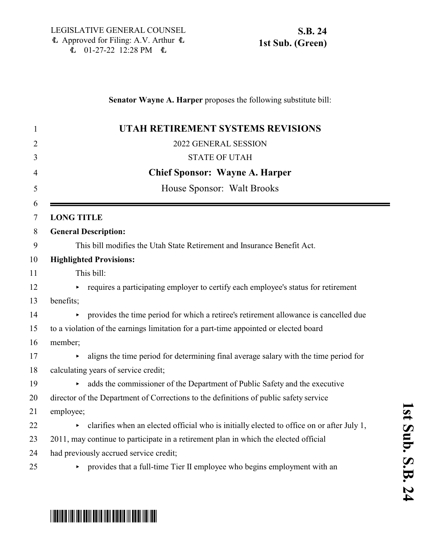### **Senator Wayne A. Harper** proposes the following substitute bill:

| $\mathbf{1}$ | UTAH RETIREMENT SYSTEMS REVISIONS                                                         |
|--------------|-------------------------------------------------------------------------------------------|
| 2            | 2022 GENERAL SESSION                                                                      |
| 3            | <b>STATE OF UTAH</b>                                                                      |
| 4            | <b>Chief Sponsor: Wayne A. Harper</b>                                                     |
| 5            | House Sponsor: Walt Brooks                                                                |
| 6<br>7       | <b>LONG TITLE</b>                                                                         |
| 8            | <b>General Description:</b>                                                               |
| 9            | This bill modifies the Utah State Retirement and Insurance Benefit Act.                   |
| 10           | <b>Highlighted Provisions:</b>                                                            |
| 11           | This bill:                                                                                |
| 12           | requires a participating employer to certify each employee's status for retirement        |
| 13           | benefits;                                                                                 |
| 14           | provides the time period for which a retiree's retirement allowance is cancelled due      |
| 15           | to a violation of the earnings limitation for a part-time appointed or elected board      |
| 16           | member;                                                                                   |
| 17           | aligns the time period for determining final average salary with the time period for      |
| 18           | calculating years of service credit;                                                      |
| 19           | adds the commissioner of the Department of Public Safety and the executive                |
| 20           | director of the Department of Corrections to the definitions of public safety service     |
| 21           | employee;                                                                                 |
| 22           | clarifies when an elected official who is initially elected to office on or after July 1, |
| 23           | 2011, may continue to participate in a retirement plan in which the elected official      |
| 24           | had previously accrued service credit;                                                    |
| 25           | provides that a full-time Tier II employee who begins employment with an                  |

**1**

# \*SB0024S01\*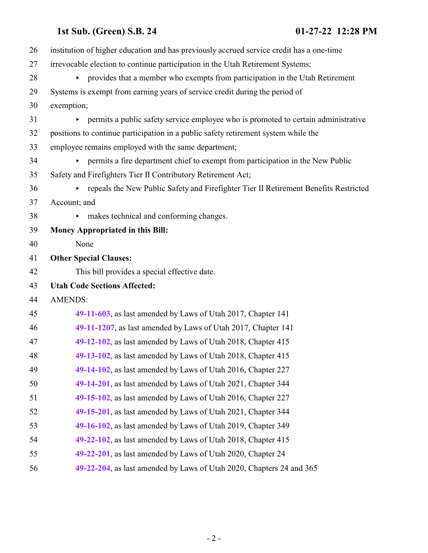| 26 | institution of higher education and has previously accrued service credit has a one-time |
|----|------------------------------------------------------------------------------------------|
| 27 | irrevocable election to continue participation in the Utah Retirement Systems;           |
| 28 | • provides that a member who exempts from participation in the Utah Retirement           |
| 29 | Systems is exempt from earning years of service credit during the period of              |
| 30 | exemption;                                                                               |
| 31 | permits a public safety service employee who is promoted to certain administrative       |
| 32 | positions to continue participation in a public safety retirement system while the       |
| 33 | employee remains employed with the same department;                                      |
| 34 | permits a fire department chief to exempt from participation in the New Public           |
| 35 | Safety and Firefighters Tier II Contributory Retirement Act;                             |
| 36 | repeals the New Public Safety and Firefighter Tier II Retirement Benefits Restricted     |
| 37 | Account; and                                                                             |
| 38 | makes technical and conforming changes.<br>►                                             |
| 39 | <b>Money Appropriated in this Bill:</b>                                                  |
| 40 | None                                                                                     |
| 41 | <b>Other Special Clauses:</b>                                                            |
| 42 | This bill provides a special effective date.                                             |
| 43 | <b>Utah Code Sections Affected:</b>                                                      |
| 44 | <b>AMENDS:</b>                                                                           |
| 45 | 49-11-603, as last amended by Laws of Utah 2017, Chapter 141                             |
| 46 | 49-11-1207, as last amended by Laws of Utah 2017, Chapter 141                            |
| 47 | 49-12-102, as last amended by Laws of Utah 2018, Chapter 415                             |
| 48 | 49-13-102, as last amended by Laws of Utah 2018, Chapter 415                             |
| 49 | 49-14-102, as last amended by Laws of Utah 2016, Chapter 227                             |
| 50 | 49-14-201, as last amended by Laws of Utah 2021, Chapter 344                             |
| 51 | 49-15-102, as last amended by Laws of Utah 2016, Chapter 227                             |
| 52 | 49-15-201, as last amended by Laws of Utah 2021, Chapter 344                             |
| 53 | 49-16-102, as last amended by Laws of Utah 2019, Chapter 349                             |
| 54 | 49-22-102, as last amended by Laws of Utah 2018, Chapter 415                             |
| 55 | 49-22-201, as last amended by Laws of Utah 2020, Chapter 24                              |
| 56 | 49-22-204, as last amended by Laws of Utah 2020, Chapters 24 and 365                     |
|    |                                                                                          |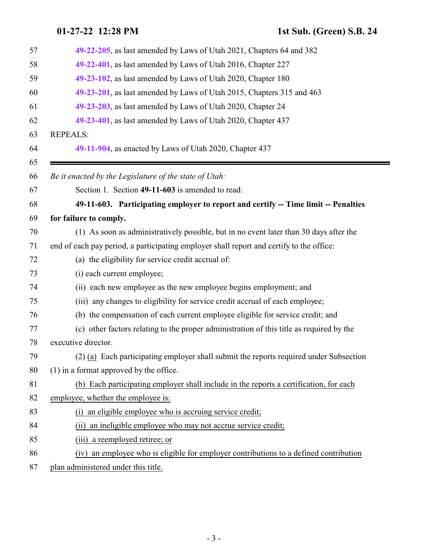<span id="page-2-0"></span>

| 57 | 49-22-205, as last amended by Laws of Utah 2021, Chapters 64 and 382                     |
|----|------------------------------------------------------------------------------------------|
| 58 | 49-22-401, as last amended by Laws of Utah 2016, Chapter 227                             |
| 59 | 49-23-102, as last amended by Laws of Utah 2020, Chapter 180                             |
| 60 | 49-23-201, as last amended by Laws of Utah 2015, Chapters 315 and 463                    |
| 61 | 49-23-203, as last amended by Laws of Utah 2020, Chapter 24                              |
| 62 | 49-23-401, as last amended by Laws of Utah 2020, Chapter 437                             |
| 63 | <b>REPEALS:</b>                                                                          |
| 64 | 49-11-904, as enacted by Laws of Utah 2020, Chapter 437                                  |
| 65 |                                                                                          |
| 66 | Be it enacted by the Legislature of the state of Utah:                                   |
| 67 | Section 1. Section 49-11-603 is amended to read:                                         |
| 68 | 49-11-603. Participating employer to report and certify -- Time limit -- Penalties       |
| 69 | for failure to comply.                                                                   |
| 70 | (1) As soon as administratively possible, but in no event later than 30 days after the   |
| 71 | end of each pay period, a participating employer shall report and certify to the office: |
| 72 | (a) the eligibility for service credit accrual of:                                       |
| 73 | (i) each current employee;                                                               |
| 74 | (ii) each new employee as the new employee begins employment; and                        |
| 75 | (iii) any changes to eligibility for service credit accrual of each employee;            |
| 76 | (b) the compensation of each current employee eligible for service credit; and           |
| 77 | (c) other factors relating to the proper administration of this title as required by the |
| 78 | executive director.                                                                      |
| 79 | $(2)$ (a) Each participating employer shall submit the reports required under Subsection |
| 80 | $(1)$ in a format approved by the office.                                                |
| 81 | (b) Each participating employer shall include in the reports a certification, for each   |
| 82 | employee, whether the employee is:                                                       |
| 83 | an eligible employee who is accruing service credit;<br>(i)                              |
| 84 | an ineligible employee who may not accrue service credit;<br>(ii)                        |
| 85 | (iii) a reemployed retiree; or                                                           |
| 86 | an employee who is eligible for employer contributions to a defined contribution<br>(iv) |
| 87 | plan administered under this title.                                                      |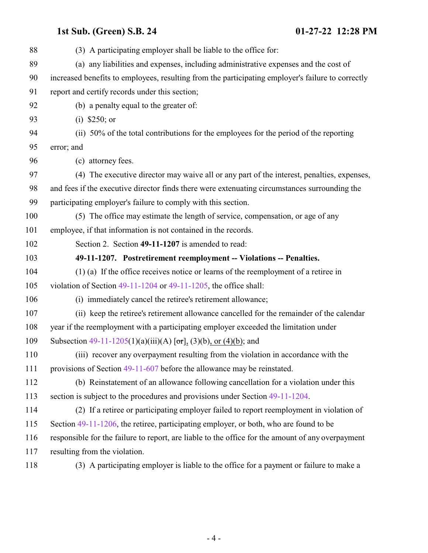<span id="page-3-0"></span>

| 88  | (3) A participating employer shall be liable to the office for:                                   |
|-----|---------------------------------------------------------------------------------------------------|
| 89  | (a) any liabilities and expenses, including administrative expenses and the cost of               |
| 90  | increased benefits to employees, resulting from the participating employer's failure to correctly |
| 91  | report and certify records under this section;                                                    |
| 92  | (b) a penalty equal to the greater of:                                                            |
| 93  | (i) $$250; or$                                                                                    |
| 94  | (ii) 50% of the total contributions for the employees for the period of the reporting             |
| 95  | error; and                                                                                        |
| 96  | (c) attorney fees.                                                                                |
| 97  | (4) The executive director may waive all or any part of the interest, penalties, expenses,        |
| 98  | and fees if the executive director finds there were extenuating circumstances surrounding the     |
| 99  | participating employer's failure to comply with this section.                                     |
| 100 | (5) The office may estimate the length of service, compensation, or age of any                    |
| 101 | employee, if that information is not contained in the records.                                    |
| 102 | Section 2. Section 49-11-1207 is amended to read:                                                 |
| 103 | 49-11-1207. Postretirement reemployment -- Violations -- Penalties.                               |
| 104 | $(1)$ (a) If the office receives notice or learns of the reemployment of a retiree in             |
| 105 | violation of Section $49-11-1204$ or $49-11-1205$ , the office shall:                             |
| 106 | (i) immediately cancel the retiree's retirement allowance;                                        |
| 107 | (ii) keep the retiree's retirement allowance cancelled for the remainder of the calendar          |
| 108 | year if the reemployment with a participating employer exceeded the limitation under              |
| 109 | Subsection $49-11-1205(1)(a)(iii)(A)$ [or], (3)(b), or (4)(b); and                                |
| 110 | (iii) recover any overpayment resulting from the violation in accordance with the                 |
| 111 | provisions of Section 49-11-607 before the allowance may be reinstated.                           |
| 112 | (b) Reinstatement of an allowance following cancellation for a violation under this               |
| 113 | section is subject to the procedures and provisions under Section 49-11-1204.                     |
| 114 | (2) If a retiree or participating employer failed to report reemployment in violation of          |
| 115 | Section 49-11-1206, the retiree, participating employer, or both, who are found to be             |
| 116 | responsible for the failure to report, are liable to the office for the amount of any overpayment |
| 117 | resulting from the violation.                                                                     |
| 118 | (3) A participating employer is liable to the office for a payment or failure to make a           |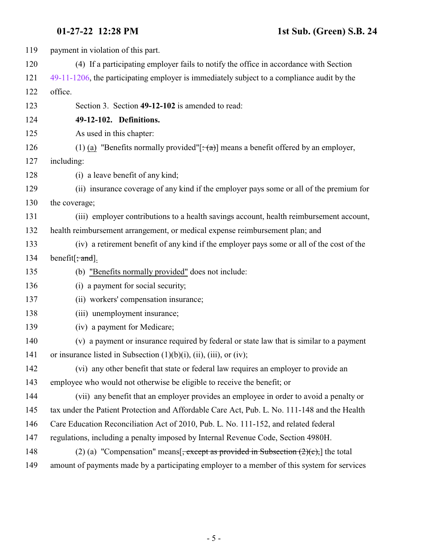<span id="page-4-0"></span>

| 119 | payment in violation of this part.                                                              |
|-----|-------------------------------------------------------------------------------------------------|
| 120 | (4) If a participating employer fails to notify the office in accordance with Section           |
| 121 | 49-11-1206, the participating employer is immediately subject to a compliance audit by the      |
| 122 | office.                                                                                         |
| 123 | Section 3. Section 49-12-102 is amended to read:                                                |
| 124 | 49-12-102. Definitions.                                                                         |
| 125 | As used in this chapter:                                                                        |
| 126 | (1) (a) "Benefits normally provided"[ $\div$ (a)] means a benefit offered by an employer,       |
| 127 | including:                                                                                      |
| 128 | (i) a leave benefit of any kind;                                                                |
| 129 | (ii) insurance coverage of any kind if the employer pays some or all of the premium for         |
| 130 | the coverage;                                                                                   |
| 131 | (iii) employer contributions to a health savings account, health reimbursement account,         |
| 132 | health reimbursement arrangement, or medical expense reimbursement plan; and                    |
| 133 | (iv) a retirement benefit of any kind if the employer pays some or all of the cost of the       |
| 134 | benefit $\frac{1}{2}$ and $\frac{1}{2}$ .                                                       |
| 135 | (b) "Benefits normally provided" does not include:                                              |
| 136 | (i) a payment for social security;                                                              |
| 137 | (ii) workers' compensation insurance;                                                           |
| 138 | (iii) unemployment insurance;                                                                   |
| 139 | (iv) a payment for Medicare;                                                                    |
| 140 | (v) a payment or insurance required by federal or state law that is similar to a payment        |
| 141 | or insurance listed in Subsection (1)(b)(i), (ii), (iii), or (iv);                              |
| 142 | (vi) any other benefit that state or federal law requires an employer to provide an             |
| 143 | employee who would not otherwise be eligible to receive the benefit; or                         |
| 144 | (vii) any benefit that an employer provides an employee in order to avoid a penalty or          |
| 145 | tax under the Patient Protection and Affordable Care Act, Pub. L. No. 111-148 and the Health    |
| 146 | Care Education Reconciliation Act of 2010, Pub. L. No. 111-152, and related federal             |
| 147 | regulations, including a penalty imposed by Internal Revenue Code, Section 4980H.               |
| 148 | (2) (a) "Compensation" means $\frac{1}{2}$ , except as provided in Subsection (2)(c), the total |
| 149 | amount of payments made by a participating employer to a member of this system for services     |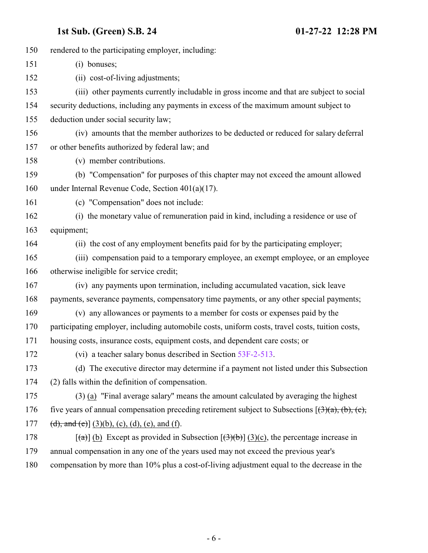| 150 | rendered to the participating employer, including:                                                                     |
|-----|------------------------------------------------------------------------------------------------------------------------|
| 151 | (i) bonuses;                                                                                                           |
| 152 | (ii) cost-of-living adjustments;                                                                                       |
| 153 | (iii) other payments currently includable in gross income and that are subject to social                               |
| 154 | security deductions, including any payments in excess of the maximum amount subject to                                 |
| 155 | deduction under social security law;                                                                                   |
| 156 | (iv) amounts that the member authorizes to be deducted or reduced for salary deferral                                  |
| 157 | or other benefits authorized by federal law; and                                                                       |
| 158 | (v) member contributions.                                                                                              |
| 159 | (b) "Compensation" for purposes of this chapter may not exceed the amount allowed                                      |
| 160 | under Internal Revenue Code, Section $401(a)(17)$ .                                                                    |
| 161 | (c) "Compensation" does not include:                                                                                   |
| 162 | (i) the monetary value of remuneration paid in kind, including a residence or use of                                   |
| 163 | equipment;                                                                                                             |
| 164 | (ii) the cost of any employment benefits paid for by the participating employer;                                       |
| 165 | (iii) compensation paid to a temporary employee, an exempt employee, or an employee                                    |
| 166 | otherwise ineligible for service credit;                                                                               |
| 167 | (iv) any payments upon termination, including accumulated vacation, sick leave                                         |
| 168 | payments, severance payments, compensatory time payments, or any other special payments;                               |
| 169 | (v) any allowances or payments to a member for costs or expenses paid by the                                           |
| 170 | participating employer, including automobile costs, uniform costs, travel costs, tuition costs,                        |
| 171 | housing costs, insurance costs, equipment costs, and dependent care costs; or                                          |
| 172 | (vi) a teacher salary bonus described in Section 53F-2-513.                                                            |
| 173 | (d) The executive director may determine if a payment not listed under this Subsection                                 |
| 174 | (2) falls within the definition of compensation.                                                                       |
| 175 | $(3)$ (a) "Final average salary" means the amount calculated by averaging the highest                                  |
| 176 | five years of annual compensation preceding retirement subject to Subsections $(3)(a)$ , (b), (c),                     |
| 177 | (d), and (e)] $(3)(b)$ , (c), (d), (e), and (f).                                                                       |
| 178 | $\lceil$ (a) $\lceil$ (b) Except as provided in Subsection $\lceil$ (3)(b) $\lceil$ (3)(c), the percentage increase in |
| 179 | annual compensation in any one of the years used may not exceed the previous year's                                    |
| 180 | compensation by more than 10% plus a cost-of-living adjustment equal to the decrease in the                            |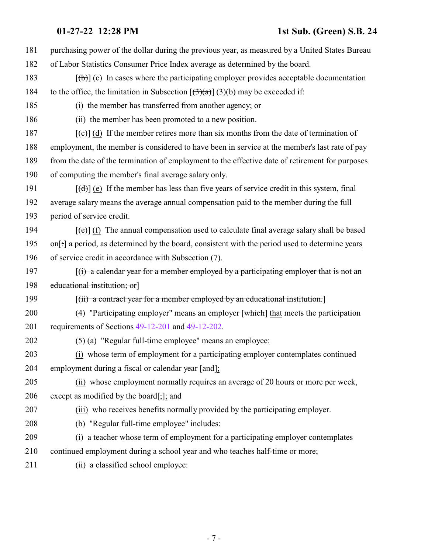| 181 | purchasing power of the dollar during the previous year, as measured by a United States Bureau           |
|-----|----------------------------------------------------------------------------------------------------------|
| 182 | of Labor Statistics Consumer Price Index average as determined by the board.                             |
| 183 | $[\phi]$ (c) In cases where the participating employer provides acceptable documentation                 |
| 184 | to the office, the limitation in Subsection $[(3)(a)]$ (3)(b) may be exceeded if:                        |
| 185 | (i) the member has transferred from another agency; or                                                   |
| 186 | (ii) the member has been promoted to a new position.                                                     |
| 187 | $[\text{e}^{-}]$ (d) If the member retires more than six months from the date of termination of          |
| 188 | employment, the member is considered to have been in service at the member's last rate of pay            |
| 189 | from the date of the termination of employment to the effective date of retirement for purposes          |
| 190 | of computing the member's final average salary only.                                                     |
| 191 | $[\text{d} \cdot]$ (e) If the member has less than five years of service credit in this system, final    |
| 192 | average salary means the average annual compensation paid to the member during the full                  |
| 193 | period of service credit.                                                                                |
| 194 | $[\text{e}(\text{e})]$ (f) The annual compensation used to calculate final average salary shall be based |
| 195 | on[:] a period, as determined by the board, consistent with the period used to determine years           |
| 196 | of service credit in accordance with Subsection (7).                                                     |
| 197 | $f(t)$ a calendar year for a member employed by a participating employer that is not an                  |
| 198 | educational institution; or                                                                              |
| 199 | $[(ii)$ a contract year for a member employed by an educational institution.                             |
| 200 | (4) "Participating employer" means an employer $\lceil$ which $\rceil$ that meets the participation      |
| 201 | requirements of Sections 49-12-201 and 49-12-202.                                                        |
| 202 | (5) (a) "Regular full-time employee" means an employee:                                                  |
| 203 | (i) whose term of employment for a participating employer contemplates continued                         |
| 204 | employment during a fiscal or calendar year [and];                                                       |
| 205 | (ii) whose employment normally requires an average of 20 hours or more per week,                         |
| 206 | except as modified by the board[;]; and                                                                  |
| 207 | (iii) who receives benefits normally provided by the participating employer.                             |
| 208 | (b) "Regular full-time employee" includes:                                                               |
| 209 | (i) a teacher whose term of employment for a participating employer contemplates                         |
| 210 | continued employment during a school year and who teaches half-time or more;                             |
| 211 | (ii) a classified school employee:                                                                       |
|     |                                                                                                          |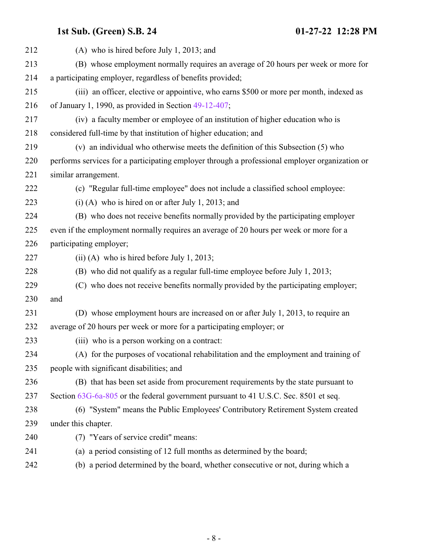| 212 | $(A)$ who is hired before July 1, 2013; and                                                    |
|-----|------------------------------------------------------------------------------------------------|
| 213 | (B) whose employment normally requires an average of 20 hours per week or more for             |
| 214 | a participating employer, regardless of benefits provided;                                     |
| 215 | (iii) an officer, elective or appointive, who earns \$500 or more per month, indexed as        |
| 216 | of January 1, 1990, as provided in Section $49-12-407$ ;                                       |
| 217 | (iv) a faculty member or employee of an institution of higher education who is                 |
| 218 | considered full-time by that institution of higher education; and                              |
| 219 | (v) an individual who otherwise meets the definition of this Subsection (5) who                |
| 220 | performs services for a participating employer through a professional employer organization or |
| 221 | similar arrangement.                                                                           |
| 222 | (c) "Regular full-time employee" does not include a classified school employee:                |
| 223 | $(i)$ (A) who is hired on or after July 1, 2013; and                                           |
| 224 | (B) who does not receive benefits normally provided by the participating employer              |
| 225 | even if the employment normally requires an average of 20 hours per week or more for a         |
| 226 | participating employer;                                                                        |
| 227 | $(ii)$ (A) who is hired before July 1, 2013;                                                   |
| 228 | (B) who did not qualify as a regular full-time employee before July 1, 2013;                   |
| 229 | (C) who does not receive benefits normally provided by the participating employer;             |
| 230 | and                                                                                            |
| 231 | (D) whose employment hours are increased on or after July 1, 2013, to require an               |
| 232 | average of 20 hours per week or more for a participating employer; or                          |
| 233 | (iii) who is a person working on a contract:                                                   |
| 234 | (A) for the purposes of vocational rehabilitation and the employment and training of           |
| 235 | people with significant disabilities; and                                                      |
| 236 | (B) that has been set aside from procurement requirements by the state pursuant to             |
| 237 | Section 63G-6a-805 or the federal government pursuant to 41 U.S.C. Sec. 8501 et seq.           |
| 238 | (6) "System" means the Public Employees' Contributory Retirement System created                |
| 239 | under this chapter.                                                                            |
| 240 | (7) "Years of service credit" means:                                                           |
| 241 | (a) a period consisting of 12 full months as determined by the board;                          |
| 242 | (b) a period determined by the board, whether consecutive or not, during which a               |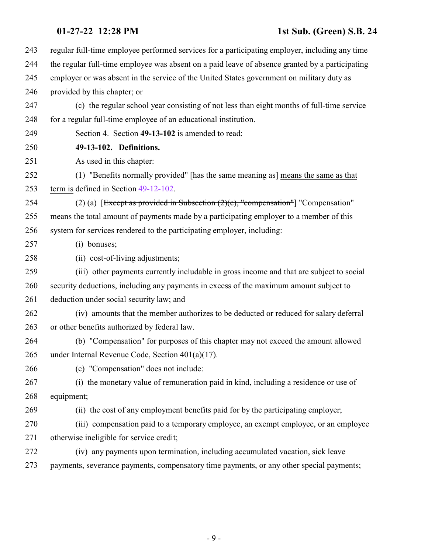<span id="page-8-0"></span>

| 243 | regular full-time employee performed services for a participating employer, including any time  |
|-----|-------------------------------------------------------------------------------------------------|
| 244 | the regular full-time employee was absent on a paid leave of absence granted by a participating |
| 245 | employer or was absent in the service of the United States government on military duty as       |
| 246 | provided by this chapter; or                                                                    |
| 247 | (c) the regular school year consisting of not less than eight months of full-time service       |
| 248 | for a regular full-time employee of an educational institution.                                 |
| 249 | Section 4. Section 49-13-102 is amended to read:                                                |
| 250 | 49-13-102. Definitions.                                                                         |
| 251 | As used in this chapter:                                                                        |
| 252 | (1) "Benefits normally provided" [has the same meaning as] means the same as that               |
| 253 | term is defined in Section 49-12-102.                                                           |
| 254 | (2) (a) [Except as provided in Subsection $(2)(c)$ , "compensation"] "Compensation"             |
| 255 | means the total amount of payments made by a participating employer to a member of this         |
| 256 | system for services rendered to the participating employer, including:                          |
| 257 | (i) bonuses;                                                                                    |
| 258 | (ii) cost-of-living adjustments;                                                                |
| 259 | (iii) other payments currently includable in gross income and that are subject to social        |
| 260 | security deductions, including any payments in excess of the maximum amount subject to          |
| 261 | deduction under social security law; and                                                        |
| 262 | (iv) amounts that the member authorizes to be deducted or reduced for salary deferral           |
| 263 | or other benefits authorized by federal law.                                                    |
| 264 | (b) "Compensation" for purposes of this chapter may not exceed the amount allowed               |
| 265 | under Internal Revenue Code, Section 401(a)(17).                                                |
| 266 | (c) "Compensation" does not include:                                                            |
| 267 | (i) the monetary value of remuneration paid in kind, including a residence or use of            |
| 268 | equipment;                                                                                      |
| 269 | (ii) the cost of any employment benefits paid for by the participating employer;                |
| 270 | (iii) compensation paid to a temporary employee, an exempt employee, or an employee             |
| 271 | otherwise ineligible for service credit;                                                        |
| 272 | (iv) any payments upon termination, including accumulated vacation, sick leave                  |
| 273 | payments, severance payments, compensatory time payments, or any other special payments;        |
|     |                                                                                                 |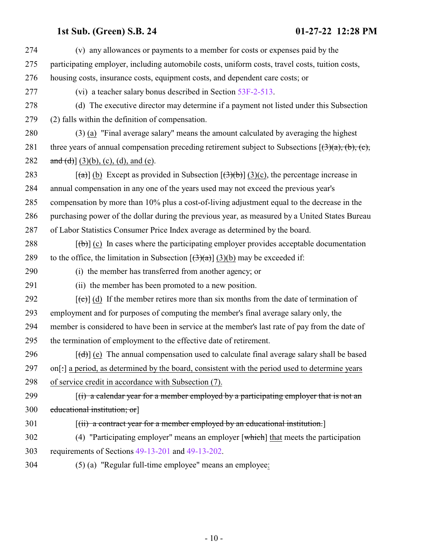| (v) any allowances or payments to a member for costs or expenses paid by the                                                            |
|-----------------------------------------------------------------------------------------------------------------------------------------|
| participating employer, including automobile costs, uniform costs, travel costs, tuition costs,                                         |
| housing costs, insurance costs, equipment costs, and dependent care costs; or                                                           |
| (vi) a teacher salary bonus described in Section 53F-2-513.                                                                             |
| (d) The executive director may determine if a payment not listed under this Subsection                                                  |
| (2) falls within the definition of compensation.                                                                                        |
| (3) (a) "Final average salary" means the amount calculated by averaging the highest                                                     |
| three years of annual compensation preceding retirement subject to Subsections $(3)(a)$ , (b), (c),                                     |
| and (d) $(3)(b)$ , (c), (d), and (e).                                                                                                   |
| $\left[\frac{a}{\theta}\right]$ (b) Except as provided in Subsection $\left[\frac{a}{\theta}\right]$ (3)(c), the percentage increase in |
| annual compensation in any one of the years used may not exceed the previous year's                                                     |
| compensation by more than 10% plus a cost-of-living adjustment equal to the decrease in the                                             |
| purchasing power of the dollar during the previous year, as measured by a United States Bureau                                          |
| of Labor Statistics Consumer Price Index average as determined by the board.                                                            |
| $[\phi]$ (c) In cases where the participating employer provides acceptable documentation                                                |
| to the office, the limitation in Subsection $[\frac{(\pi)}{(\pi)}](3)(b)$ may be exceeded if:                                           |
| (i) the member has transferred from another agency; or                                                                                  |
| (ii) the member has been promoted to a new position.                                                                                    |
| $[\text{(-c)}]$ (d) If the member retires more than six months from the date of termination of                                          |
| employment and for purposes of computing the member's final average salary only, the                                                    |
| member is considered to have been in service at the member's last rate of pay from the date of                                          |
| the termination of employment to the effective date of retirement.                                                                      |
| $[\text{d} \cdot]$ (e) The annual compensation used to calculate final average salary shall be based                                    |
| on[:] a period, as determined by the board, consistent with the period used to determine years                                          |
| of service credit in accordance with Subsection (7).                                                                                    |
| $\left[\right(\mathbf{f})$ a calendar year for a member employed by a participating employer that is not an                             |
| educational institution; or                                                                                                             |
| $[(ii)$ a contract year for a member employed by an educational institution.                                                            |
| (4) "Participating employer" means an employer $\lceil$ which $\rceil$ that meets the participation                                     |
| requirements of Sections 49-13-201 and 49-13-202.                                                                                       |
| (5) (a) "Regular full-time employee" means an employee:                                                                                 |
|                                                                                                                                         |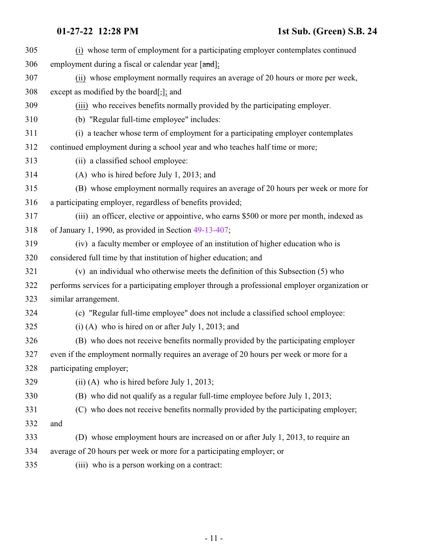| 305 | (i) whose term of employment for a participating employer contemplates continued               |
|-----|------------------------------------------------------------------------------------------------|
| 306 | employment during a fiscal or calendar year [and];                                             |
| 307 | (ii) whose employment normally requires an average of 20 hours or more per week,               |
| 308 | except as modified by the board $[\cdot]$ ; and                                                |
| 309 | (iii) who receives benefits normally provided by the participating employer.                   |
| 310 | (b) "Regular full-time employee" includes:                                                     |
| 311 | (i) a teacher whose term of employment for a participating employer contemplates               |
| 312 | continued employment during a school year and who teaches half time or more;                   |
| 313 | (ii) a classified school employee:                                                             |
| 314 | (A) who is hired before July 1, 2013; and                                                      |
| 315 | (B) whose employment normally requires an average of 20 hours per week or more for             |
| 316 | a participating employer, regardless of benefits provided;                                     |
| 317 | (iii) an officer, elective or appointive, who earns \$500 or more per month, indexed as        |
| 318 | of January 1, 1990, as provided in Section 49-13-407;                                          |
| 319 | (iv) a faculty member or employee of an institution of higher education who is                 |
| 320 | considered full time by that institution of higher education; and                              |
| 321 | (v) an individual who otherwise meets the definition of this Subsection (5) who                |
| 322 | performs services for a participating employer through a professional employer organization or |
| 323 | similar arrangement.                                                                           |
| 324 | (c) "Regular full-time employee" does not include a classified school employee:                |
| 325 | $(i)$ (A) who is hired on or after July 1, 2013; and                                           |
| 326 | (B) who does not receive benefits normally provided by the participating employer              |
| 327 | even if the employment normally requires an average of 20 hours per week or more for a         |
| 328 | participating employer;                                                                        |
| 329 | $(ii)$ (A) who is hired before July 1, 2013;                                                   |
| 330 | (B) who did not qualify as a regular full-time employee before July 1, 2013;                   |
| 331 | (C) who does not receive benefits normally provided by the participating employer;             |
| 332 | and                                                                                            |
| 333 | (D) whose employment hours are increased on or after July 1, 2013, to require an               |
| 334 | average of 20 hours per week or more for a participating employer; or                          |
| 335 | (iii) who is a person working on a contract:                                                   |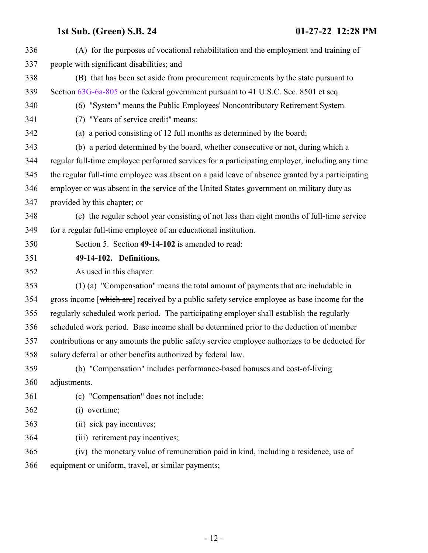<span id="page-11-0"></span> (A) for the purposes of vocational rehabilitation and the employment and training of people with significant disabilities; and (B) that has been set aside from procurement requirements by the state pursuant to Section [63G-6a-805](http://le.utah.gov/UtahCode/SectionLookup.jsp?section=63g-6a-805&session=2022GS) or the federal government pursuant to 41 U.S.C. Sec. 8501 et seq. (6) "System" means the Public Employees' Noncontributory Retirement System. (7) "Years of service credit" means: (a) a period consisting of 12 full months as determined by the board; (b) a period determined by the board, whether consecutive or not, during which a regular full-time employee performed services for a participating employer, including any time the regular full-time employee was absent on a paid leave of absence granted by a participating employer or was absent in the service of the United States government on military duty as provided by this chapter; or (c) the regular school year consisting of not less than eight months of full-time service for a regular full-time employee of an educational institution. Section 5. Section **49-14-102** is amended to read: **49-14-102. Definitions.** As used in this chapter: (1) (a) "Compensation" means the total amount of payments that are includable in 354 gross income [which are] received by a public safety service employee as base income for the regularly scheduled work period. The participating employer shall establish the regularly scheduled work period. Base income shall be determined prior to the deduction of member contributions or any amounts the public safety service employee authorizes to be deducted for salary deferral or other benefits authorized by federal law. (b) "Compensation" includes performance-based bonuses and cost-of-living adjustments. (c) "Compensation" does not include: (i) overtime; (ii) sick pay incentives; (iii) retirement pay incentives; (iv) the monetary value of remuneration paid in kind, including a residence, use of equipment or uniform, travel, or similar payments;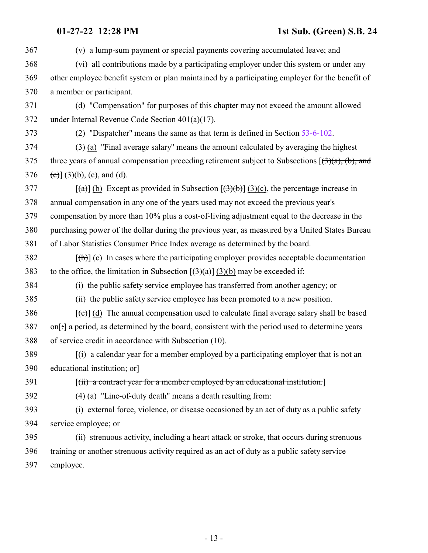| 367 | (v) a lump-sum payment or special payments covering accumulated leave; and                                        |
|-----|-------------------------------------------------------------------------------------------------------------------|
| 368 | (vi) all contributions made by a participating employer under this system or under any                            |
| 369 | other employee benefit system or plan maintained by a participating employer for the benefit of                   |
| 370 | a member or participant.                                                                                          |
| 371 | (d) "Compensation" for purposes of this chapter may not exceed the amount allowed                                 |
| 372 | under Internal Revenue Code Section $401(a)(17)$ .                                                                |
| 373 | (2) "Dispatcher" means the same as that term is defined in Section 53-6-102.                                      |
| 374 | (3) (a) "Final average salary" means the amount calculated by averaging the highest                               |
| 375 | three years of annual compensation preceding retirement subject to Subsections $(3)(a)$ , (b), and                |
| 376 | (c) $(3)(b)$ , (c), and (d).                                                                                      |
| 377 | $[\text{A}(\alpha)]$ (b) Except as provided in Subsection $[\text{A}(\theta)]$ (3)(c), the percentage increase in |
| 378 | annual compensation in any one of the years used may not exceed the previous year's                               |
| 379 | compensation by more than 10% plus a cost-of-living adjustment equal to the decrease in the                       |
| 380 | purchasing power of the dollar during the previous year, as measured by a United States Bureau                    |
| 381 | of Labor Statistics Consumer Price Index average as determined by the board.                                      |
| 382 | $[\phi]$ (c) In cases where the participating employer provides acceptable documentation                          |
| 383 | to the office, the limitation in Subsection $[(3)(a)]$ (3)(b) may be exceeded if:                                 |
| 384 | (i) the public safety service employee has transferred from another agency; or                                    |
| 385 | (ii) the public safety service employee has been promoted to a new position.                                      |
| 386 | $[\text{e}^{-}]$ (d) The annual compensation used to calculate final average salary shall be based                |
| 387 | on[:] a period, as determined by the board, consistent with the period used to determine years                    |
| 388 | of service credit in accordance with Subsection (10).                                                             |
| 389 | $[(i)$ a calendar year for a member employed by a participating employer that is not an                           |
| 390 | educational institution; or                                                                                       |
| 391 | $[(iii)$ a contract year for a member employed by an educational institution.                                     |
| 392 | (4) (a) "Line-of-duty death" means a death resulting from:                                                        |
| 393 | (i) external force, violence, or disease occasioned by an act of duty as a public safety                          |
| 394 | service employee; or                                                                                              |
| 395 | (ii) strenuous activity, including a heart attack or stroke, that occurs during strenuous                         |
| 396 | training or another strenuous activity required as an act of duty as a public safety service                      |
| 397 | employee.                                                                                                         |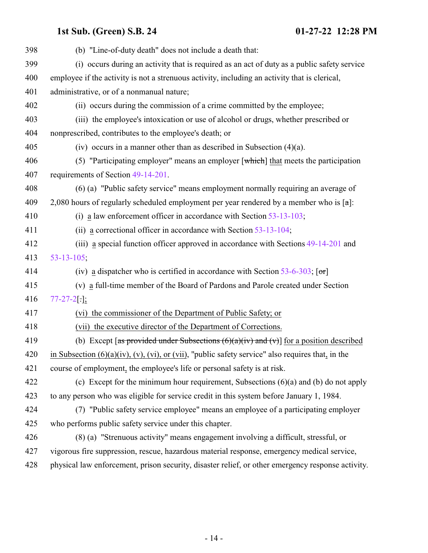| 398 | (b) "Line-of-duty death" does not include a death that:                                                       |
|-----|---------------------------------------------------------------------------------------------------------------|
| 399 | (i) occurs during an activity that is required as an act of duty as a public safety service                   |
| 400 | employee if the activity is not a strenuous activity, including an activity that is clerical,                 |
| 401 | administrative, or of a nonmanual nature;                                                                     |
| 402 | (ii) occurs during the commission of a crime committed by the employee;                                       |
| 403 | (iii) the employee's intoxication or use of alcohol or drugs, whether prescribed or                           |
| 404 | nonprescribed, contributes to the employee's death; or                                                        |
| 405 | (iv) occurs in a manner other than as described in Subsection $(4)(a)$ .                                      |
| 406 | (5) "Participating employer" means an employer $\lceil$ which $\rceil$ that meets the participation           |
| 407 | requirements of Section 49-14-201.                                                                            |
| 408 | (6) (a) "Public safety service" means employment normally requiring an average of                             |
| 409 | 2,080 hours of regularly scheduled employment per year rendered by a member who is $\lceil \alpha \rceil$ :   |
| 410 | (i) a law enforcement officer in accordance with Section $53-13-103$ ;                                        |
| 411 | (ii) a correctional officer in accordance with Section $53-13-104$ ;                                          |
| 412 | (iii) a special function officer approved in accordance with Sections 49-14-201 and                           |
| 413 | $53 - 13 - 105$ ;                                                                                             |
| 414 | (iv) a dispatcher who is certified in accordance with Section 53-6-303; $[\sigma r]$                          |
| 415 | (v) a full-time member of the Board of Pardons and Parole created under Section                               |
| 416 | $77 - 27 - 2$ [.];                                                                                            |
| 417 | (vi) the commissioner of the Department of Public Safety; or                                                  |
| 418 | (vii) the executive director of the Department of Corrections.                                                |
| 419 | (b) Except [as provided under Subsections $(6)(a)(iv)$ and $(v)$ ] for a position described                   |
| 420 | in Subsection $(6)(a)(iv)$ , $(v)$ , $(vi)$ , or $(vii)$ , "public safety service" also requires that, in the |
| 421 | course of employment, the employee's life or personal safety is at risk.                                      |
| 422 | (c) Except for the minimum hour requirement, Subsections $(6)(a)$ and $(b)$ do not apply                      |
| 423 | to any person who was eligible for service credit in this system before January 1, 1984.                      |
| 424 | (7) "Public safety service employee" means an employee of a participating employer                            |
| 425 | who performs public safety service under this chapter.                                                        |
| 426 | (8) (a) "Strenuous activity" means engagement involving a difficult, stressful, or                            |
| 427 | vigorous fire suppression, rescue, hazardous material response, emergency medical service,                    |
| 428 | physical law enforcement, prison security, disaster relief, or other emergency response activity.             |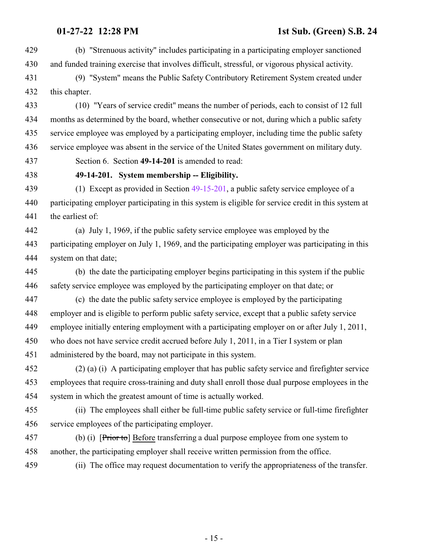(b) "Strenuous activity" includes participating in a participating employer sanctioned and funded training exercise that involves difficult, stressful, or vigorous physical activity.

 (9) "System" means the Public Safety Contributory Retirement System created under this chapter.

 (10) "Years of service credit" means the number of periods, each to consist of 12 full months as determined by the board, whether consecutive or not, during which a public safety service employee was employed by a participating employer, including time the public safety service employee was absent in the service of the United States government on military duty.

<span id="page-14-0"></span>Section 6. Section **49-14-201** is amended to read:

### **49-14-201. System membership -- Eligibility.**

 (1) Except as provided in Section [49-15-201](#page-20-0), a public safety service employee of a participating employer participating in this system is eligible for service credit in this system at the earliest of:

 (a) July 1, 1969, if the public safety service employee was employed by the participating employer on July 1, 1969, and the participating employer was participating in this system on that date;

 (b) the date the participating employer begins participating in this system if the public safety service employee was employed by the participating employer on that date; or

 (c) the date the public safety service employee is employed by the participating employer and is eligible to perform public safety service, except that a public safety service employee initially entering employment with a participating employer on or after July 1, 2011, who does not have service credit accrued before July 1, 2011, in a Tier I system or plan administered by the board, may not participate in this system.

 (2) (a) (i) A participating employer that has public safety service and firefighter service employees that require cross-training and duty shall enroll those dual purpose employees in the system in which the greatest amount of time is actually worked.

 (ii) The employees shall either be full-time public safety service or full-time firefighter service employees of the participating employer.

 (b) (i) [Prior to] Before transferring a dual purpose employee from one system to another, the participating employer shall receive written permission from the office.

(ii) The office may request documentation to verify the appropriateness of the transfer.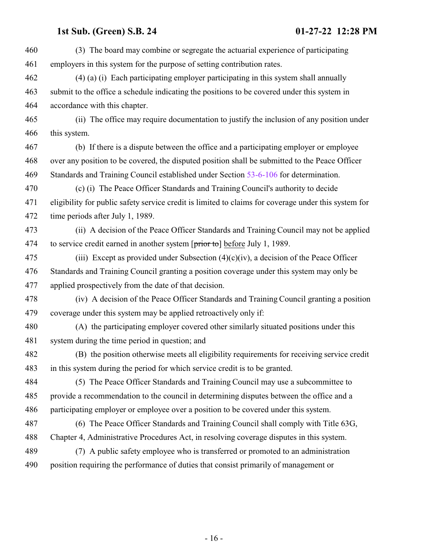(3) The board may combine or segregate the actuarial experience of participating employers in this system for the purpose of setting contribution rates. (4) (a) (i) Each participating employer participating in this system shall annually submit to the office a schedule indicating the positions to be covered under this system in accordance with this chapter. (ii) The office may require documentation to justify the inclusion of any position under this system. (b) If there is a dispute between the office and a participating employer or employee over any position to be covered, the disputed position shall be submitted to the Peace Officer Standards and Training Council established under Section [53-6-106](http://le.utah.gov/UtahCode/SectionLookup.jsp?section=53-6-106&session=2022GS) for determination. (c) (i) The Peace Officer Standards and Training Council's authority to decide eligibility for public safety service credit is limited to claims for coverage under this system for time periods after July 1, 1989. (ii) A decision of the Peace Officer Standards and Training Council may not be applied 474 to service credit earned in another system [prior to] before July 1, 1989. 475 (iii) Except as provided under Subsection  $(4)(c)(iv)$ , a decision of the Peace Officer Standards and Training Council granting a position coverage under this system may only be applied prospectively from the date of that decision. (iv) A decision of the Peace Officer Standards and Training Council granting a position coverage under this system may be applied retroactively only if: (A) the participating employer covered other similarly situated positions under this system during the time period in question; and (B) the position otherwise meets all eligibility requirements for receiving service credit in this system during the period for which service credit is to be granted. (5) The Peace Officer Standards and Training Council may use a subcommittee to provide a recommendation to the council in determining disputes between the office and a participating employer or employee over a position to be covered under this system. (6) The Peace Officer Standards and Training Council shall comply with Title 63G, Chapter 4, Administrative Procedures Act, in resolving coverage disputes in this system. (7) A public safety employee who is transferred or promoted to an administration position requiring the performance of duties that consist primarily of management or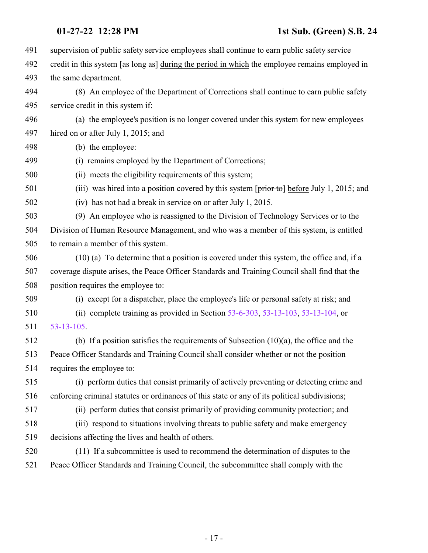| 491 | supervision of public safety service employees shall continue to earn public safety service                    |
|-----|----------------------------------------------------------------------------------------------------------------|
| 492 | credit in this system [as long as] during the period in which the employee remains employed in                 |
| 493 | the same department.                                                                                           |
| 494 | (8) An employee of the Department of Corrections shall continue to earn public safety                          |
| 495 | service credit in this system if:                                                                              |
| 496 | (a) the employee's position is no longer covered under this system for new employees                           |
| 497 | hired on or after July 1, 2015; and                                                                            |
| 498 | (b) the employee:                                                                                              |
| 499 | (i) remains employed by the Department of Corrections;                                                         |
| 500 | (ii) meets the eligibility requirements of this system;                                                        |
| 501 | (iii) was hired into a position covered by this system $[\overrightarrow{prior\ to}]$ before July 1, 2015; and |
| 502 | (iv) has not had a break in service on or after July 1, 2015.                                                  |
| 503 | (9) An employee who is reassigned to the Division of Technology Services or to the                             |
| 504 | Division of Human Resource Management, and who was a member of this system, is entitled                        |
| 505 | to remain a member of this system.                                                                             |
| 506 | $(10)$ (a) To determine that a position is covered under this system, the office and, if a                     |
| 507 | coverage dispute arises, the Peace Officer Standards and Training Council shall find that the                  |
| 508 | position requires the employee to:                                                                             |
| 509 | (i) except for a dispatcher, place the employee's life or personal safety at risk; and                         |
| 510 | (ii) complete training as provided in Section $53-6-303$ , $53-13-103$ , $53-13-104$ , or                      |
| 511 | $53 - 13 - 105$                                                                                                |
| 512 | (b) If a position satisfies the requirements of Subsection $(10)(a)$ , the office and the                      |
| 513 | Peace Officer Standards and Training Council shall consider whether or not the position                        |
| 514 | requires the employee to:                                                                                      |
| 515 | (i) perform duties that consist primarily of actively preventing or detecting crime and                        |
| 516 | enforcing criminal statutes or ordinances of this state or any of its political subdivisions;                  |
| 517 | (ii) perform duties that consist primarily of providing community protection; and                              |
| 518 | (iii) respond to situations involving threats to public safety and make emergency                              |
| 519 | decisions affecting the lives and health of others.                                                            |
| 520 | (11) If a subcommittee is used to recommend the determination of disputes to the                               |
| 521 | Peace Officer Standards and Training Council, the subcommittee shall comply with the                           |
|     |                                                                                                                |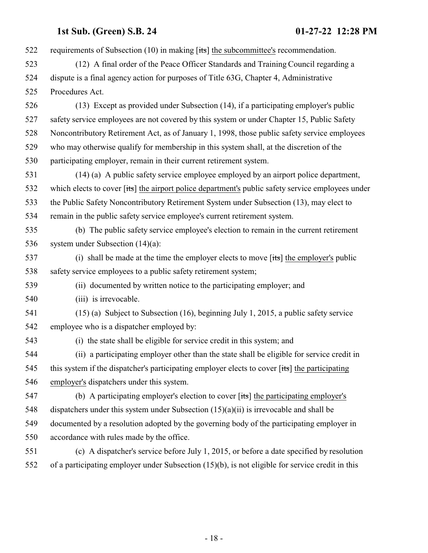522 requirements of Subsection (10) in making [its] the subcommittee's recommendation. (12) A final order of the Peace Officer Standards and Training Council regarding a dispute is a final agency action for purposes of Title 63G, Chapter 4, Administrative Procedures Act. (13) Except as provided under Subsection (14), if a participating employer's public safety service employees are not covered by this system or under Chapter 15, Public Safety Noncontributory Retirement Act, as of January 1, 1998, those public safety service employees who may otherwise qualify for membership in this system shall, at the discretion of the participating employer, remain in their current retirement system. (14) (a) A public safety service employee employed by an airport police department, 532 which elects to cover [its] the airport police department's public safety service employees under the Public Safety Noncontributory Retirement System under Subsection (13), may elect to remain in the public safety service employee's current retirement system. (b) The public safety service employee's election to remain in the current retirement system under Subsection (14)(a): (i) shall be made at the time the employer elects to move [its] the employer's public safety service employees to a public safety retirement system; (ii) documented by written notice to the participating employer; and 540 (iii) is irrevocable. (15) (a) Subject to Subsection (16), beginning July 1, 2015, a public safety service employee who is a dispatcher employed by: (i) the state shall be eligible for service credit in this system; and (ii) a participating employer other than the state shall be eligible for service credit in 545 this system if the dispatcher's participating employer elects to cover [its] the participating employer's dispatchers under this system. (b) A participating employer's election to cover [its] the participating employer's 548 dispatchers under this system under Subsection  $(15)(a)(ii)$  is irrevocable and shall be documented by a resolution adopted by the governing body of the participating employer in accordance with rules made by the office. (c) A dispatcher's service before July 1, 2015, or before a date specified by resolution of a participating employer under Subsection (15)(b), is not eligible for service credit in this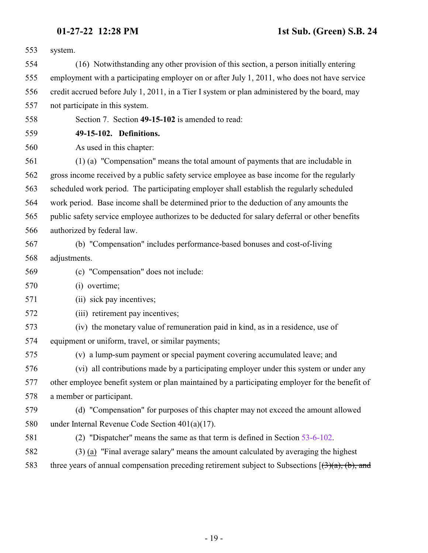system.

 (16) Notwithstanding any other provision of this section, a person initially entering employment with a participating employer on or after July 1, 2011, who does not have service credit accrued before July 1, 2011, in a Tier I system or plan administered by the board, may not participate in this system.

<span id="page-18-0"></span>Section 7. Section **49-15-102** is amended to read:

**49-15-102. Definitions.**

As used in this chapter:

 (1) (a) "Compensation" means the total amount of payments that are includable in gross income received by a public safety service employee as base income for the regularly scheduled work period. The participating employer shall establish the regularly scheduled work period. Base income shall be determined prior to the deduction of any amounts the public safety service employee authorizes to be deducted for salary deferral or other benefits authorized by federal law.

- (b) "Compensation" includes performance-based bonuses and cost-of-living
- adjustments.
- (c) "Compensation" does not include:
- (i) overtime;
- (ii) sick pay incentives;
- (iii) retirement pay incentives;
- (iv) the monetary value of remuneration paid in kind, as in a residence, use of equipment or uniform, travel, or similar payments;
- 

(v) a lump-sum payment or special payment covering accumulated leave; and

 (vi) all contributions made by a participating employer under this system or under any other employee benefit system or plan maintained by a participating employer for the benefit of a member or participant.

 (d) "Compensation" for purposes of this chapter may not exceed the amount allowed under Internal Revenue Code Section 401(a)(17).

- (2) "Dispatcher" means the same as that term is defined in Section [53-6-102](http://le.utah.gov/UtahCode/SectionLookup.jsp?section=53-6-102&session=2022GS).
- (3) (a) "Final average salary" means the amount calculated by averaging the highest
- 583 three years of annual compensation preceding retirement subject to Subsections  $[(3)(a), (b),$  and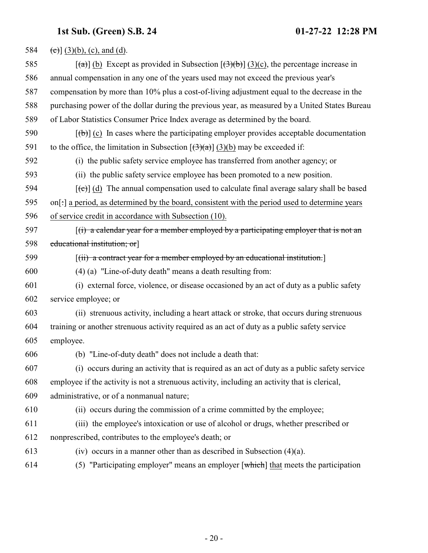| 584 | (c) $(3)(b)$ , (c), and (d).                                                                                                  |
|-----|-------------------------------------------------------------------------------------------------------------------------------|
| 585 | $\left[\frac{1}{2}\right]$ (b) Except as provided in Subsection $\left[\frac{1}{2}\right]$ (3)(c), the percentage increase in |
| 586 | annual compensation in any one of the years used may not exceed the previous year's                                           |
| 587 | compensation by more than 10% plus a cost-of-living adjustment equal to the decrease in the                                   |
| 588 | purchasing power of the dollar during the previous year, as measured by a United States Bureau                                |
| 589 | of Labor Statistics Consumer Price Index average as determined by the board.                                                  |
| 590 | $[\phi]$ (c) In cases where the participating employer provides acceptable documentation                                      |
| 591 | to the office, the limitation in Subsection $[(3)(a)]$ (3)(b) may be exceeded if:                                             |
| 592 | (i) the public safety service employee has transferred from another agency; or                                                |
| 593 | (ii) the public safety service employee has been promoted to a new position.                                                  |
| 594 | $[\text{e}^{-\text{e}}]$ (d) The annual compensation used to calculate final average salary shall be based                    |
| 595 | on[:] a period, as determined by the board, consistent with the period used to determine years                                |
| 596 | of service credit in accordance with Subsection (10).                                                                         |
| 597 | $(i)$ a calendar year for a member employed by a participating employer that is not an                                        |
| 598 | educational institution; or                                                                                                   |
| 599 | $[(ii)$ a contract year for a member employed by an educational institution.                                                  |
| 600 | (4) (a) "Line-of-duty death" means a death resulting from:                                                                    |
| 601 | (i) external force, violence, or disease occasioned by an act of duty as a public safety                                      |
| 602 | service employee; or                                                                                                          |
| 603 | (ii) strenuous activity, including a heart attack or stroke, that occurs during strenuous                                     |
| 604 | training or another strenuous activity required as an act of duty as a public safety service                                  |
| 605 | employee.                                                                                                                     |
| 606 | (b) "Line-of-duty death" does not include a death that:                                                                       |
| 607 | (i) occurs during an activity that is required as an act of duty as a public safety service                                   |
| 608 | employee if the activity is not a strenuous activity, including an activity that is clerical,                                 |
| 609 | administrative, or of a nonmanual nature;                                                                                     |
| 610 | (ii) occurs during the commission of a crime committed by the employee;                                                       |
| 611 | (iii) the employee's intoxication or use of alcohol or drugs, whether prescribed or                                           |
| 612 | nonprescribed, contributes to the employee's death; or                                                                        |
| 613 | (iv) occurs in a manner other than as described in Subsection $(4)(a)$ .                                                      |
| 614 | (5) "Participating employer" means an employer $\lceil$ which $\rceil$ that meets the participation                           |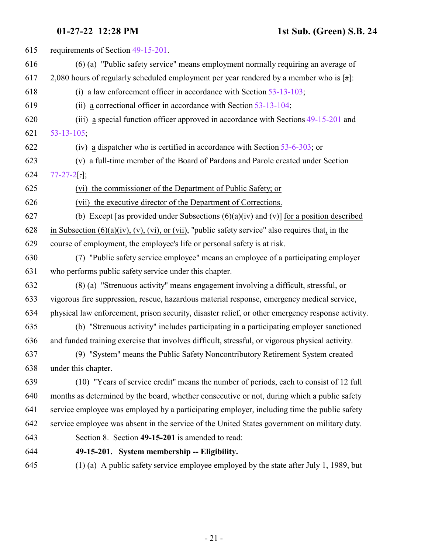<span id="page-20-0"></span>

| 615 | requirements of Section 49-15-201.                                                                            |
|-----|---------------------------------------------------------------------------------------------------------------|
| 616 | (6) (a) "Public safety service" means employment normally requiring an average of                             |
| 617 | 2,080 hours of regularly scheduled employment per year rendered by a member who is $\lceil \alpha \rceil$ :   |
| 618 | (i) a law enforcement officer in accordance with Section $53-13-103$ ;                                        |
| 619 | (ii) a correctional officer in accordance with Section $53-13-104$ ;                                          |
| 620 | (iii) a special function officer approved in accordance with Sections 49-15-201 and                           |
| 621 | $53 - 13 - 105$ ;                                                                                             |
| 622 | (iv) a dispatcher who is certified in accordance with Section $53-6-303$ ; or                                 |
| 623 | (v) a full-time member of the Board of Pardons and Parole created under Section                               |
| 624 | $77 - 27 - 2$ [.];                                                                                            |
| 625 | (vi) the commissioner of the Department of Public Safety; or                                                  |
| 626 | (vii) the executive director of the Department of Corrections.                                                |
| 627 | (b) Except [as provided under Subsections $(6)(a)(iv)$ and $(v)$ ] for a position described                   |
| 628 | in Subsection $(6)(a)(iv)$ , $(v)$ , $(vi)$ , or $(vii)$ , "public safety service" also requires that, in the |
| 629 | course of employment, the employee's life or personal safety is at risk.                                      |
| 630 | (7) "Public safety service employee" means an employee of a participating employer                            |
| 631 | who performs public safety service under this chapter.                                                        |
| 632 | (8) (a) "Strenuous activity" means engagement involving a difficult, stressful, or                            |
| 633 | vigorous fire suppression, rescue, hazardous material response, emergency medical service,                    |
| 634 | physical law enforcement, prison security, disaster relief, or other emergency response activity.             |
| 635 | (b) "Strenuous activity" includes participating in a participating employer sanctioned                        |
| 636 | and funded training exercise that involves difficult, stressful, or vigorous physical activity.               |
| 637 | (9) "System" means the Public Safety Noncontributory Retirement System created                                |
| 638 | under this chapter.                                                                                           |
| 639 | (10) "Years of service credit" means the number of periods, each to consist of 12 full                        |
| 640 | months as determined by the board, whether consecutive or not, during which a public safety                   |
| 641 | service employee was employed by a participating employer, including time the public safety                   |
| 642 | service employee was absent in the service of the United States government on military duty.                  |
| 643 | Section 8. Section 49-15-201 is amended to read:                                                              |
| 644 | 49-15-201. System membership -- Eligibility.                                                                  |
| 645 | (1) (a) A public safety service employee employed by the state after July 1, 1989, but                        |
|     |                                                                                                               |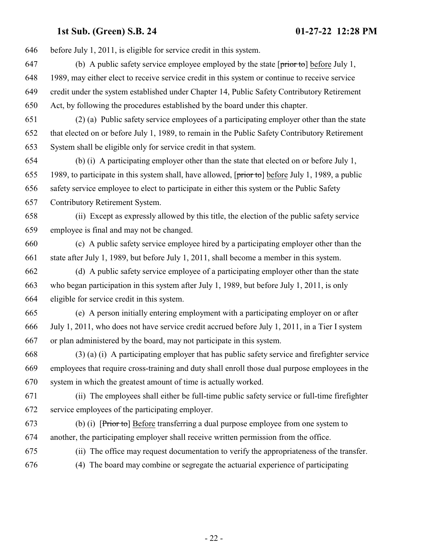before July 1, 2011, is eligible for service credit in this system.

- 647 (b) A public safety service employee employed by the state  $[\text{prior to}]$  before July 1, 1989, may either elect to receive service credit in this system or continue to receive service credit under the system established under Chapter 14, Public Safety Contributory Retirement Act, by following the procedures established by the board under this chapter.
- (2) (a) Public safety service employees of a participating employer other than the state that elected on or before July 1, 1989, to remain in the Public Safety Contributory Retirement System shall be eligible only for service credit in that system.
- (b) (i) A participating employer other than the state that elected on or before July 1, 655 1989, to participate in this system shall, have allowed,  $[\overrightarrow{prior\,to}]$  before July 1, 1989, a public safety service employee to elect to participate in either this system or the Public Safety Contributory Retirement System.
- (ii) Except as expressly allowed by this title, the election of the public safety service employee is final and may not be changed.
- (c) A public safety service employee hired by a participating employer other than the state after July 1, 1989, but before July 1, 2011, shall become a member in this system.
- (d) A public safety service employee of a participating employer other than the state who began participation in this system after July 1, 1989, but before July 1, 2011, is only eligible for service credit in this system.
- (e) A person initially entering employment with a participating employer on or after July 1, 2011, who does not have service credit accrued before July 1, 2011, in a Tier I system or plan administered by the board, may not participate in this system.
- (3) (a) (i) A participating employer that has public safety service and firefighter service employees that require cross-training and duty shall enroll those dual purpose employees in the system in which the greatest amount of time is actually worked.
- (ii) The employees shall either be full-time public safety service or full-time firefighter service employees of the participating employer.
- (b) (i) [Prior to] Before transferring a dual purpose employee from one system to another, the participating employer shall receive written permission from the office.
- 
- (ii) The office may request documentation to verify the appropriateness of the transfer.
- (4) The board may combine or segregate the actuarial experience of participating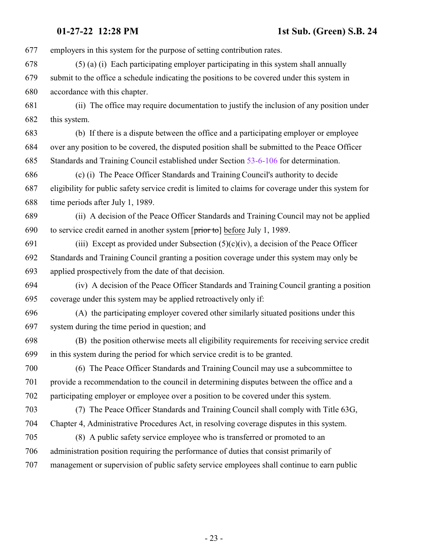employers in this system for the purpose of setting contribution rates.

 (5) (a) (i) Each participating employer participating in this system shall annually submit to the office a schedule indicating the positions to be covered under this system in accordance with this chapter.

 (ii) The office may require documentation to justify the inclusion of any position under this system.

 (b) If there is a dispute between the office and a participating employer or employee over any position to be covered, the disputed position shall be submitted to the Peace Officer Standards and Training Council established under Section [53-6-106](http://le.utah.gov/UtahCode/SectionLookup.jsp?section=53-6-106&session=2022GS) for determination.

 (c) (i) The Peace Officer Standards and Training Council's authority to decide eligibility for public safety service credit is limited to claims for coverage under this system for time periods after July 1, 1989.

 (ii) A decision of the Peace Officer Standards and Training Council may not be applied to service credit earned in another system [prior to] before July 1, 1989.

691 (iii) Except as provided under Subsection  $(5)(c)(iv)$ , a decision of the Peace Officer Standards and Training Council granting a position coverage under this system may only be applied prospectively from the date of that decision.

 (iv) A decision of the Peace Officer Standards and Training Council granting a position coverage under this system may be applied retroactively only if:

 (A) the participating employer covered other similarly situated positions under this system during the time period in question; and

 (B) the position otherwise meets all eligibility requirements for receiving service credit in this system during the period for which service credit is to be granted.

 (6) The Peace Officer Standards and Training Council may use a subcommittee to provide a recommendation to the council in determining disputes between the office and a participating employer or employee over a position to be covered under this system.

 (7) The Peace Officer Standards and Training Council shall comply with Title 63G, Chapter 4, Administrative Procedures Act, in resolving coverage disputes in this system.

 (8) A public safety service employee who is transferred or promoted to an administration position requiring the performance of duties that consist primarily of

management or supervision of public safety service employees shall continue to earn public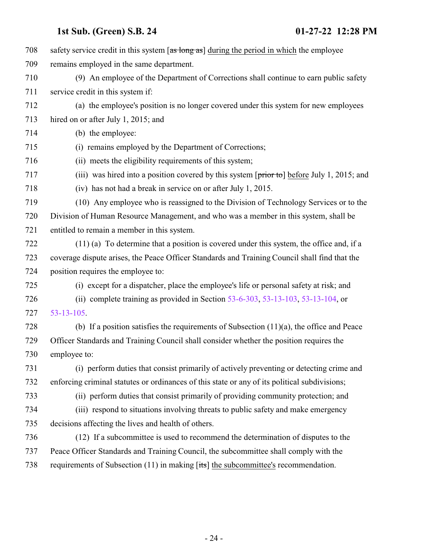| 708 | safety service credit in this system $\left[\frac{as \text{ long as}}{as}\right]$ during the period in which the employee |
|-----|---------------------------------------------------------------------------------------------------------------------------|
| 709 | remains employed in the same department.                                                                                  |
| 710 | (9) An employee of the Department of Corrections shall continue to earn public safety                                     |
| 711 | service credit in this system if:                                                                                         |
| 712 | (a) the employee's position is no longer covered under this system for new employees                                      |
| 713 | hired on or after July 1, 2015; and                                                                                       |
| 714 | (b) the employee:                                                                                                         |
| 715 | (i) remains employed by the Department of Corrections;                                                                    |
| 716 | (ii) meets the eligibility requirements of this system;                                                                   |
| 717 | (iii) was hired into a position covered by this system $[\overline{\text{prior to}}]$ before July 1, 2015; and            |
| 718 | (iv) has not had a break in service on or after July 1, 2015.                                                             |
| 719 | (10) Any employee who is reassigned to the Division of Technology Services or to the                                      |
| 720 | Division of Human Resource Management, and who was a member in this system, shall be                                      |
| 721 | entitled to remain a member in this system.                                                                               |
| 722 | $(11)$ (a) To determine that a position is covered under this system, the office and, if a                                |
| 723 | coverage dispute arises, the Peace Officer Standards and Training Council shall find that the                             |
| 724 | position requires the employee to:                                                                                        |
| 725 | (i) except for a dispatcher, place the employee's life or personal safety at risk; and                                    |
| 726 | (ii) complete training as provided in Section $53-6-303$ , $53-13-103$ , $53-13-104$ , or                                 |
| 727 | $53 - 13 - 105$ .                                                                                                         |
| 728 | (b) If a position satisfies the requirements of Subsection $(11)(a)$ , the office and Peace                               |
| 729 | Officer Standards and Training Council shall consider whether the position requires the                                   |
| 730 | employee to:                                                                                                              |
| 731 | (i) perform duties that consist primarily of actively preventing or detecting crime and                                   |
| 732 | enforcing criminal statutes or ordinances of this state or any of its political subdivisions;                             |
| 733 | (ii) perform duties that consist primarily of providing community protection; and                                         |
| 734 | (iii) respond to situations involving threats to public safety and make emergency                                         |
| 735 | decisions affecting the lives and health of others.                                                                       |
| 736 | (12) If a subcommittee is used to recommend the determination of disputes to the                                          |
| 737 | Peace Officer Standards and Training Council, the subcommittee shall comply with the                                      |
| 738 | requirements of Subsection (11) in making [its] the subcommittee's recommendation.                                        |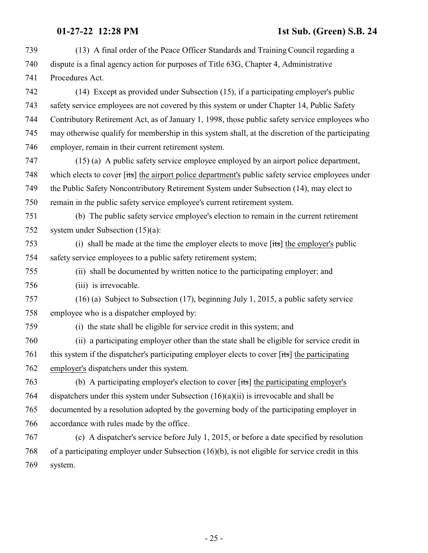(13) A final order of the Peace Officer Standards and Training Council regarding a dispute is a final agency action for purposes of Title 63G, Chapter 4, Administrative Procedures Act. (14) Except as provided under Subsection (15), if a participating employer's public safety service employees are not covered by this system or under Chapter 14, Public Safety Contributory Retirement Act, as of January 1, 1998, those public safety service employees who may otherwise qualify for membership in this system shall, at the discretion of the participating employer, remain in their current retirement system. (15) (a) A public safety service employee employed by an airport police department, 748 which elects to cover [its] the airport police department's public safety service employees under the Public Safety Noncontributory Retirement System under Subsection (14), may elect to remain in the public safety service employee's current retirement system. (b) The public safety service employee's election to remain in the current retirement system under Subsection (15)(a): (i) shall be made at the time the employer elects to move [its] the employer's public safety service employees to a public safety retirement system; (ii) shall be documented by written notice to the participating employer; and (iii) is irrevocable. (16) (a) Subject to Subsection (17), beginning July 1, 2015, a public safety service employee who is a dispatcher employed by: (i) the state shall be eligible for service credit in this system; and (ii) a participating employer other than the state shall be eligible for service credit in this system if the dispatcher's participating employer elects to cover [its] the participating employer's dispatchers under this system. (b) A participating employer's election to cover [its] the participating employer's dispatchers under this system under Subsection (16)(a)(ii) is irrevocable and shall be documented by a resolution adopted by the governing body of the participating employer in accordance with rules made by the office. (c) A dispatcher's service before July 1, 2015, or before a date specified by resolution of a participating employer under Subsection (16)(b), is not eligible for service credit in this system.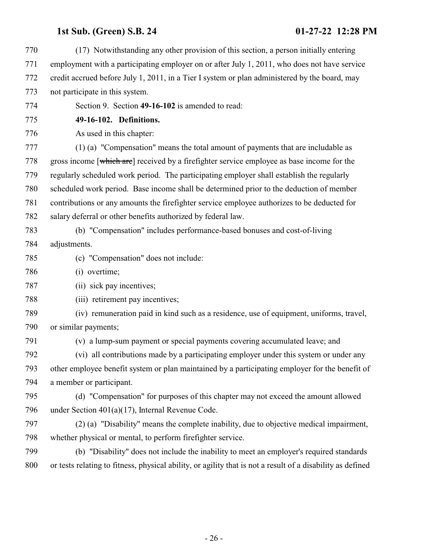<span id="page-25-0"></span>

| 770 | (17) Notwithstanding any other provision of this section, a person initially entering                      |
|-----|------------------------------------------------------------------------------------------------------------|
| 771 | employment with a participating employer on or after July 1, 2011, who does not have service               |
| 772 | credit accrued before July 1, 2011, in a Tier I system or plan administered by the board, may              |
| 773 | not participate in this system.                                                                            |
| 774 | Section 9. Section 49-16-102 is amended to read:                                                           |
| 775 | 49-16-102. Definitions.                                                                                    |
| 776 | As used in this chapter:                                                                                   |
| 777 | (1) (a) "Compensation" means the total amount of payments that are includable as                           |
| 778 | gross income [which are] received by a firefighter service employee as base income for the                 |
| 779 | regularly scheduled work period. The participating employer shall establish the regularly                  |
| 780 | scheduled work period. Base income shall be determined prior to the deduction of member                    |
| 781 | contributions or any amounts the firefighter service employee authorizes to be deducted for                |
| 782 | salary deferral or other benefits authorized by federal law.                                               |
| 783 | (b) "Compensation" includes performance-based bonuses and cost-of-living                                   |
| 784 | adjustments.                                                                                               |
| 785 | (c) "Compensation" does not include:                                                                       |
| 786 | (i) overtime;                                                                                              |
| 787 | (ii) sick pay incentives;                                                                                  |
| 788 | (iii) retirement pay incentives;                                                                           |
| 789 | (iv) remuneration paid in kind such as a residence, use of equipment, uniforms, travel,                    |
| 790 | or similar payments;                                                                                       |
| 791 | (v) a lump-sum payment or special payments covering accumulated leave; and                                 |
| 792 | (vi) all contributions made by a participating employer under this system or under any                     |
| 793 | other employee benefit system or plan maintained by a participating employer for the benefit of            |
| 794 | a member or participant.                                                                                   |
| 795 | (d) "Compensation" for purposes of this chapter may not exceed the amount allowed                          |
| 796 | under Section $401(a)(17)$ , Internal Revenue Code.                                                        |
| 797 | (2) (a) "Disability" means the complete inability, due to objective medical impairment,                    |
| 798 | whether physical or mental, to perform firefighter service.                                                |
| 799 | (b) "Disability" does not include the inability to meet an employer's required standards                   |
| 800 | or tests relating to fitness, physical ability, or agility that is not a result of a disability as defined |
|     |                                                                                                            |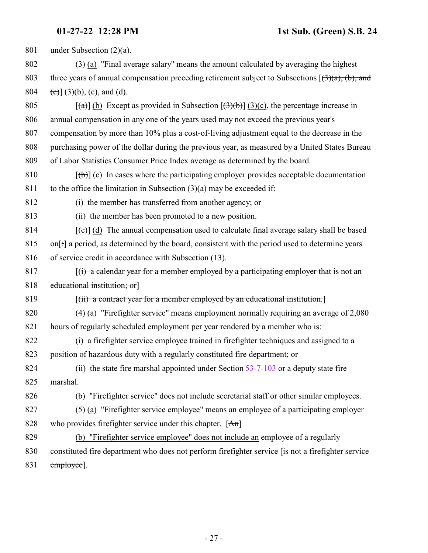| 801 | under Subsection $(2)(a)$ .                                                                                                                                  |
|-----|--------------------------------------------------------------------------------------------------------------------------------------------------------------|
| 802 | (3) (a) "Final average salary" means the amount calculated by averaging the highest                                                                          |
| 803 | three years of annual compensation preceding retirement subject to Subsections $[\left(\frac{3}{(a)}, \left(b\right), \frac{1}{(b)}, \left(c\right)\right)]$ |
| 804 | $(c)$ ] (3)(b), (c), and (d).                                                                                                                                |
| 805 | $[\text{a} \text{b}]$ (b) Except as provided in Subsection $[\text{a} \text{b}]$ (3)(c), the percentage increase in                                          |
| 806 | annual compensation in any one of the years used may not exceed the previous year's                                                                          |
| 807 | compensation by more than 10% plus a cost-of-living adjustment equal to the decrease in the                                                                  |
| 808 | purchasing power of the dollar during the previous year, as measured by a United States Bureau                                                               |
| 809 | of Labor Statistics Consumer Price Index average as determined by the board.                                                                                 |
| 810 | $[\phi]$ (c) In cases where the participating employer provides acceptable documentation                                                                     |
| 811 | to the office the limitation in Subsection $(3)(a)$ may be exceeded if:                                                                                      |
| 812 | (i) the member has transferred from another agency; or                                                                                                       |
| 813 | (ii) the member has been promoted to a new position.                                                                                                         |
| 814 | $[\text{et}]$ (d) The annual compensation used to calculate final average salary shall be based                                                              |
| 815 | on[:] a period, as determined by the board, consistent with the period used to determine years                                                               |
| 816 | of service credit in accordance with Subsection (13).                                                                                                        |
| 817 | $(i)$ a calendar year for a member employed by a participating employer that is not an                                                                       |
| 818 | educational institution; or                                                                                                                                  |
| 819 | $[(ii)$ a contract year for a member employed by an educational institution.                                                                                 |
| 820 | $(4)$ (a) "Firefighter service" means employment normally requiring an average of 2,080                                                                      |
| 821 | hours of regularly scheduled employment per year rendered by a member who is:                                                                                |
| 822 | (i) a firefighter service employee trained in firefighter techniques and assigned to a                                                                       |
| 823 | position of hazardous duty with a regularly constituted fire department; or                                                                                  |
| 824 | (ii) the state fire marshal appointed under Section 53-7-103 or a deputy state fire                                                                          |
| 825 | marshal.                                                                                                                                                     |
| 826 | (b) "Firefighter service" does not include secretarial staff or other similar employees.                                                                     |
| 827 | (5) (a) "Firefighter service employee" means an employee of a participating employer                                                                         |
| 828 | who provides firefighter service under this chapter. $[An]$                                                                                                  |
| 829 | (b) "Firefighter service employee" does not include an employee of a regularly                                                                               |
| 830 | constituted fire department who does not perform firefighter service [is not a firefighter service                                                           |
| 831 | employee].                                                                                                                                                   |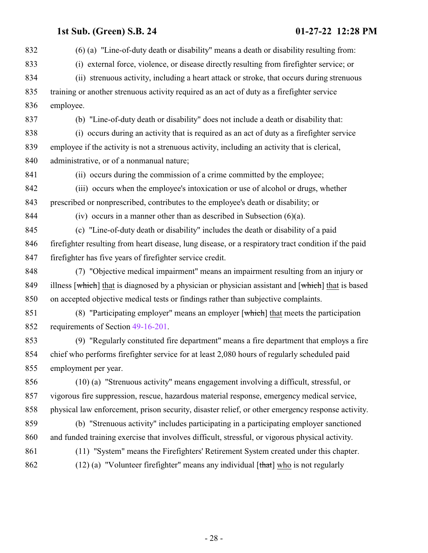- 28 -

- (6) (a) "Line-of-duty death or disability" means a death or disability resulting from: (i) external force, violence, or disease directly resulting from firefighter service; or (ii) strenuous activity, including a heart attack or stroke, that occurs during strenuous training or another strenuous activity required as an act of duty as a firefighter service employee. (b) "Line-of-duty death or disability" does not include a death or disability that: (i) occurs during an activity that is required as an act of duty as a firefighter service employee if the activity is not a strenuous activity, including an activity that is clerical, administrative, or of a nonmanual nature; (ii) occurs during the commission of a crime committed by the employee; (iii) occurs when the employee's intoxication or use of alcohol or drugs, whether prescribed or nonprescribed, contributes to the employee's death or disability; or 844 (iv) occurs in a manner other than as described in Subsection  $(6)(a)$ . (c) "Line-of-duty death or disability" includes the death or disability of a paid firefighter resulting from heart disease, lung disease, or a respiratory tract condition if the paid firefighter has five years of firefighter service credit. (7) "Objective medical impairment" means an impairment resulting from an injury or 849 illness [which] that is diagnosed by a physician or physician assistant and [which] that is based on accepted objective medical tests or findings rather than subjective complaints. 851 (8) "Participating employer" means an employer [which] that meets the participation requirements of Section [49-16-201](http://le.utah.gov/UtahCode/SectionLookup.jsp?section=49-16-201&session=2022GS). (9) "Regularly constituted fire department" means a fire department that employs a fire chief who performs firefighter service for at least 2,080 hours of regularly scheduled paid employment per year. (10) (a) "Strenuous activity" means engagement involving a difficult, stressful, or vigorous fire suppression, rescue, hazardous material response, emergency medical service, physical law enforcement, prison security, disaster relief, or other emergency response activity. (b) "Strenuous activity" includes participating in a participating employer sanctioned and funded training exercise that involves difficult, stressful, or vigorous physical activity.
- 
- (11) "System" means the Firefighters' Retirement System created under this chapter.
- 862 (12) (a) "Volunteer firefighter" means any individual  $[\text{that}]$  who is not regularly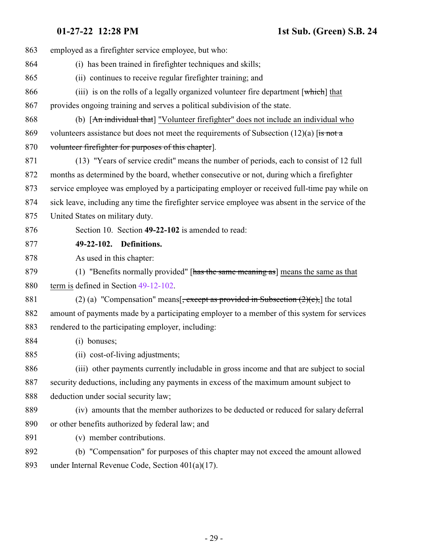<span id="page-28-0"></span>

| 863 | employed as a firefighter service employee, but who:                                             |
|-----|--------------------------------------------------------------------------------------------------|
| 864 | (i) has been trained in firefighter techniques and skills;                                       |
| 865 | (ii) continues to receive regular firefighter training; and                                      |
| 866 | (iii) is on the rolls of a legally organized volunteer fire department [which] that              |
| 867 | provides ongoing training and serves a political subdivision of the state.                       |
| 868 | (b) [An individual that] "Volunteer firefighter" does not include an individual who              |
| 869 | volunteers assistance but does not meet the requirements of Subsection $(12)(a)$ [is not a       |
| 870 | volunteer firefighter for purposes of this chapter.                                              |
| 871 | (13) "Years of service credit" means the number of periods, each to consist of 12 full           |
| 872 | months as determined by the board, whether consecutive or not, during which a firefighter        |
| 873 | service employee was employed by a participating employer or received full-time pay while on     |
| 874 | sick leave, including any time the firefighter service employee was absent in the service of the |
| 875 | United States on military duty.                                                                  |
| 876 | Section 10. Section 49-22-102 is amended to read:                                                |
| 877 | 49-22-102. Definitions.                                                                          |
| 878 | As used in this chapter:                                                                         |
| 879 | (1) "Benefits normally provided" [has the same meaning as] means the same as that                |
| 880 | term is defined in Section 49-12-102.                                                            |
| 881 | (2) (a) "Compensation" means $\frac{1}{2}$ , except as provided in Subsection (2)(c), the total  |
| 882 | amount of payments made by a participating employer to a member of this system for services      |
| 883 | rendered to the participating employer, including:                                               |
| 884 | $(i)$ bonuses;                                                                                   |
| 885 | (ii) cost-of-living adjustments;                                                                 |
| 886 | (iii) other payments currently includable in gross income and that are subject to social         |
| 887 | security deductions, including any payments in excess of the maximum amount subject to           |
| 888 | deduction under social security law;                                                             |
| 889 | (iv) amounts that the member authorizes to be deducted or reduced for salary deferral            |
| 890 | or other benefits authorized by federal law; and                                                 |
| 891 | (v) member contributions.                                                                        |
| 892 | (b) "Compensation" for purposes of this chapter may not exceed the amount allowed                |
| 893 | under Internal Revenue Code, Section $401(a)(17)$ .                                              |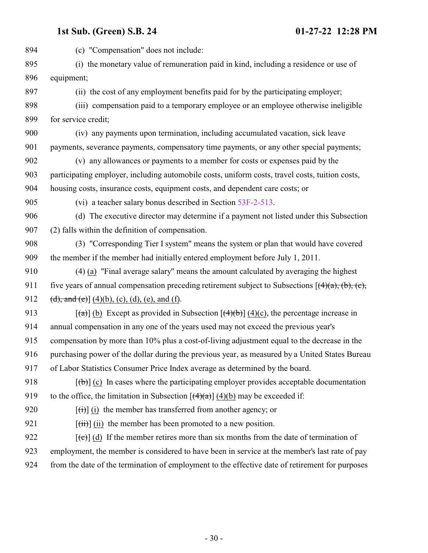(c) "Compensation" does not include: (i) the monetary value of remuneration paid in kind, including a residence or use of equipment; (ii) the cost of any employment benefits paid for by the participating employer; (iii) compensation paid to a temporary employee or an employee otherwise ineligible for service credit; (iv) any payments upon termination, including accumulated vacation, sick leave 901 payments, severance payments, compensatory time payments, or any other special payments; (v) any allowances or payments to a member for costs or expenses paid by the participating employer, including automobile costs, uniform costs, travel costs, tuition costs, housing costs, insurance costs, equipment costs, and dependent care costs; or (vi) a teacher salary bonus described in Section [53F-2-513](http://le.utah.gov/UtahCode/SectionLookup.jsp?section=53f-2-513&session=2022GS). (d) The executive director may determine if a payment not listed under this Subsection (2) falls within the definition of compensation. (3) "Corresponding Tier I system" means the system or plan that would have covered the member if the member had initially entered employment before July 1, 2011. (4) (a) "Final average salary" means the amount calculated by averaging the highest 911 five years of annual compensation preceding retirement subject to Subsections  $[({4})$  (a), (c), (c), 912 (d), and (e)] (4)(b), (c), (d), (e), and (f).  $[(a)] (b)$  Except as provided in Subsection  $[(4)(b)] (4)(c)$ , the percentage increase in annual compensation in any one of the years used may not exceed the previous year's compensation by more than 10% plus a cost-of-living adjustment equal to the decrease in the purchasing power of the dollar during the previous year, as measured by a United States Bureau of Labor Statistics Consumer Price Index average as determined by the board.  $[(b)]$  (c) In cases where the participating employer provides acceptable documentation 919 to the office, the limitation in Subsection  $[(4)(a)]$  (4)(b) may be exceeded if:  $[(\dagger)\dagger](i)$  the member has transferred from another agency; or  $[(iii)]$  (ii) the member has been promoted to a new position.  $[(e)]$  (d) If the member retires more than six months from the date of termination of employment, the member is considered to have been in service at the member's last rate of pay from the date of the termination of employment to the effective date of retirement for purposes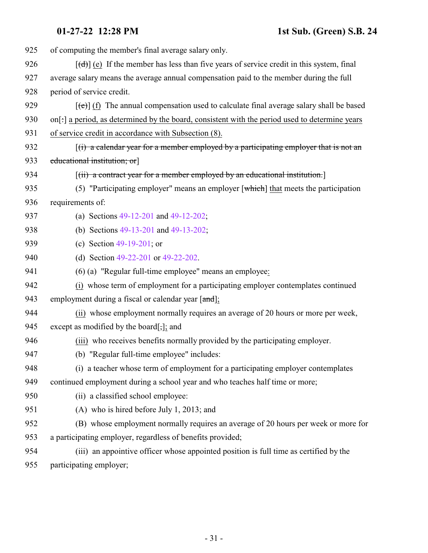| 925 | of computing the member's final average salary only.                                                     |
|-----|----------------------------------------------------------------------------------------------------------|
| 926 | $[\text{d} \cdot]$ (e) If the member has less than five years of service credit in this system, final    |
| 927 | average salary means the average annual compensation paid to the member during the full                  |
| 928 | period of service credit.                                                                                |
| 929 | $[\text{e}(\text{e})]$ (f) The annual compensation used to calculate final average salary shall be based |
| 930 | on[:] a period, as determined by the board, consistent with the period used to determine years           |
| 931 | of service credit in accordance with Subsection (8).                                                     |
| 932 | $(i)$ a calendar year for a member employed by a participating employer that is not an                   |
| 933 | educational institution; or                                                                              |
| 934 | $\left[\left(\text{ii}\right)$ a contract year for a member employed by an educational institution.      |
| 935 | (5) "Participating employer" means an employer $\lceil$ which $\rceil$ that meets the participation      |
| 936 | requirements of:                                                                                         |
| 937 | (a) Sections $49-12-201$ and $49-12-202$ ;                                                               |
| 938 | (b) Sections 49-13-201 and 49-13-202;                                                                    |
| 939 | (c) Section $49-19-201$ ; or                                                                             |
| 940 | (d) Section 49-22-201 or 49-22-202.                                                                      |
| 941 | (6) (a) "Regular full-time employee" means an employee:                                                  |
| 942 | (i) whose term of employment for a participating employer contemplates continued                         |
| 943 | employment during a fiscal or calendar year [and];                                                       |
| 944 | (ii) whose employment normally requires an average of 20 hours or more per week,                         |
| 945 | except as modified by the board[;]; and                                                                  |
| 946 | (iii) who receives benefits normally provided by the participating employer.                             |
| 947 | (b) "Regular full-time employee" includes:                                                               |
| 948 | (i) a teacher whose term of employment for a participating employer contemplates                         |
| 949 | continued employment during a school year and who teaches half time or more;                             |
| 950 | (ii) a classified school employee:                                                                       |
| 951 | (A) who is hired before July 1, 2013; and                                                                |
| 952 | (B) whose employment normally requires an average of 20 hours per week or more for                       |
| 953 | a participating employer, regardless of benefits provided;                                               |
| 954 | (iii) an appointive officer whose appointed position is full time as certified by the                    |
| 955 | participating employer;                                                                                  |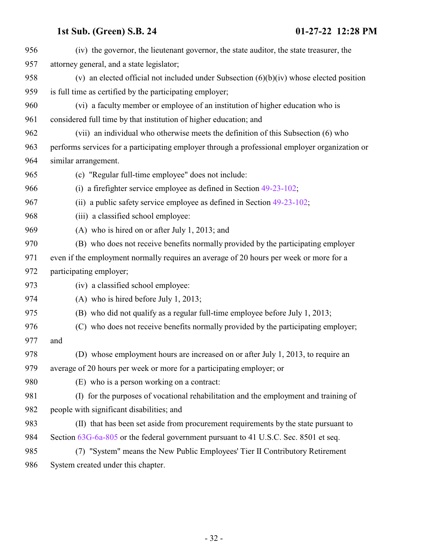| 956 | (iv) the governor, the lieutenant governor, the state auditor, the state treasurer, the        |
|-----|------------------------------------------------------------------------------------------------|
| 957 | attorney general, and a state legislator;                                                      |
| 958 | (v) an elected official not included under Subsection $(6)(b)(iv)$ whose elected position      |
| 959 | is full time as certified by the participating employer;                                       |
| 960 | (vi) a faculty member or employee of an institution of higher education who is                 |
| 961 | considered full time by that institution of higher education; and                              |
| 962 | (vii) an individual who otherwise meets the definition of this Subsection (6) who              |
| 963 | performs services for a participating employer through a professional employer organization or |
| 964 | similar arrangement.                                                                           |
| 965 | (c) "Regular full-time employee" does not include:                                             |
| 966 | (i) a firefighter service employee as defined in Section $49-23-102$ ;                         |
| 967 | (ii) a public safety service employee as defined in Section $49-23-102$ ;                      |
| 968 | (iii) a classified school employee:                                                            |
| 969 | (A) who is hired on or after July 1, 2013; and                                                 |
| 970 | (B) who does not receive benefits normally provided by the participating employer              |
| 971 | even if the employment normally requires an average of 20 hours per week or more for a         |
| 972 | participating employer;                                                                        |
| 973 | (iv) a classified school employee:                                                             |
| 974 | (A) who is hired before July 1, 2013;                                                          |
| 975 | (B) who did not qualify as a regular full-time employee before July 1, 2013;                   |
| 976 | (C) who does not receive benefits normally provided by the participating employer;             |
| 977 | and                                                                                            |
| 978 | (D) whose employment hours are increased on or after July 1, 2013, to require an               |
| 979 | average of 20 hours per week or more for a participating employer; or                          |
| 980 | (E) who is a person working on a contract:                                                     |
| 981 | (I) for the purposes of vocational rehabilitation and the employment and training of           |
| 982 | people with significant disabilities; and                                                      |
| 983 | (II) that has been set aside from procurement requirements by the state pursuant to            |
| 984 | Section 63G-6a-805 or the federal government pursuant to 41 U.S.C. Sec. 8501 et seq.           |
| 985 | (7) "System" means the New Public Employees' Tier II Contributory Retirement                   |
| 986 | System created under this chapter.                                                             |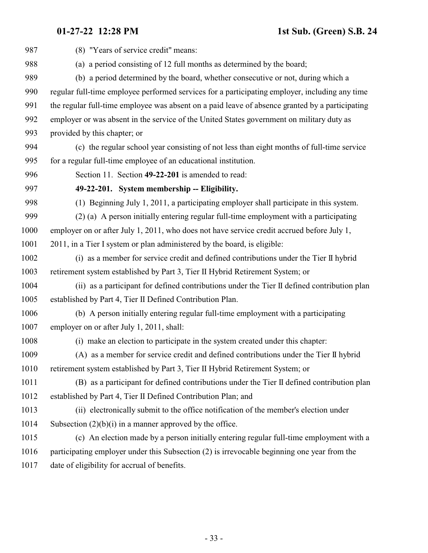<span id="page-32-0"></span>

| 987  | (8) "Years of service credit" means:                                                            |
|------|-------------------------------------------------------------------------------------------------|
| 988  | (a) a period consisting of 12 full months as determined by the board;                           |
| 989  | (b) a period determined by the board, whether consecutive or not, during which a                |
| 990  | regular full-time employee performed services for a participating employer, including any time  |
| 991  | the regular full-time employee was absent on a paid leave of absence granted by a participating |
| 992  | employer or was absent in the service of the United States government on military duty as       |
| 993  | provided by this chapter; or                                                                    |
| 994  | (c) the regular school year consisting of not less than eight months of full-time service       |
| 995  | for a regular full-time employee of an educational institution.                                 |
| 996  | Section 11. Section 49-22-201 is amended to read:                                               |
| 997  | 49-22-201. System membership -- Eligibility.                                                    |
| 998  | (1) Beginning July 1, 2011, a participating employer shall participate in this system.          |
| 999  | (2) (a) A person initially entering regular full-time employment with a participating           |
| 1000 | employer on or after July 1, 2011, who does not have service credit accrued before July 1,      |
| 1001 | 2011, in a Tier I system or plan administered by the board, is eligible:                        |
| 1002 | (i) as a member for service credit and defined contributions under the Tier II hybrid           |
| 1003 | retirement system established by Part 3, Tier II Hybrid Retirement System; or                   |
| 1004 | (ii) as a participant for defined contributions under the Tier II defined contribution plan     |
| 1005 | established by Part 4, Tier II Defined Contribution Plan.                                       |
| 1006 | (b) A person initially entering regular full-time employment with a participating               |
| 1007 | employer on or after July 1, 2011, shall:                                                       |
| 1008 | (i) make an election to participate in the system created under this chapter:                   |
| 1009 | (A) as a member for service credit and defined contributions under the Tier II hybrid           |
| 1010 | retirement system established by Part 3, Tier II Hybrid Retirement System; or                   |
| 1011 | (B) as a participant for defined contributions under the Tier II defined contribution plan      |
| 1012 | established by Part 4, Tier II Defined Contribution Plan; and                                   |
| 1013 | (ii) electronically submit to the office notification of the member's election under            |
| 1014 | Subsection $(2)(b)(i)$ in a manner approved by the office.                                      |
| 1015 | (c) An election made by a person initially entering regular full-time employment with a         |
| 1016 | participating employer under this Subsection (2) is irrevocable beginning one year from the     |
| 1017 | date of eligibility for accrual of benefits.                                                    |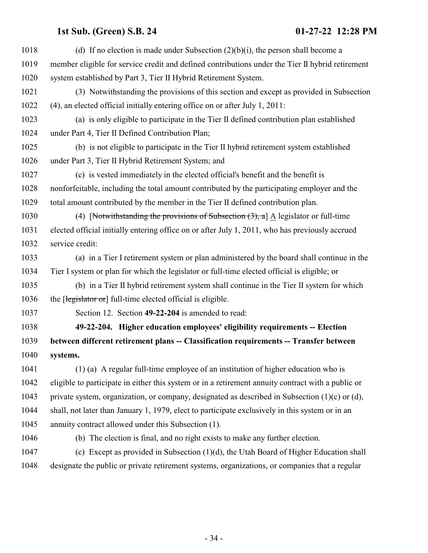<span id="page-33-0"></span>

| 1018 | (d) If no election is made under Subsection $(2)(b)(i)$ , the person shall become a                  |
|------|------------------------------------------------------------------------------------------------------|
| 1019 | member eligible for service credit and defined contributions under the Tier II hybrid retirement     |
| 1020 | system established by Part 3, Tier II Hybrid Retirement System.                                      |
| 1021 | (3) Notwithstanding the provisions of this section and except as provided in Subsection              |
| 1022 | (4), an elected official initially entering office on or after July 1, 2011:                         |
| 1023 | (a) is only eligible to participate in the Tier II defined contribution plan established             |
| 1024 | under Part 4, Tier II Defined Contribution Plan;                                                     |
| 1025 | (b) is not eligible to participate in the Tier II hybrid retirement system established               |
| 1026 | under Part 3, Tier II Hybrid Retirement System; and                                                  |
| 1027 | (c) is vested immediately in the elected official's benefit and the benefit is                       |
| 1028 | nonforfeitable, including the total amount contributed by the participating employer and the         |
| 1029 | total amount contributed by the member in the Tier II defined contribution plan.                     |
| 1030 | (4) [Notwithstanding the provisions of Subsection $(3)$ , a] $\underline{A}$ legislator or full-time |
| 1031 | elected official initially entering office on or after July 1, 2011, who has previously accrued      |
| 1032 | service credit:                                                                                      |
| 1033 | (a) in a Tier I retirement system or plan administered by the board shall continue in the            |
| 1034 | Tier I system or plan for which the legislator or full-time elected official is eligible; or         |
| 1035 | (b) in a Tier II hybrid retirement system shall continue in the Tier II system for which             |
| 1036 | the [legislator or] full-time elected official is eligible.                                          |
| 1037 | Section 12. Section 49-22-204 is amended to read:                                                    |
| 1038 | 49-22-204. Higher education employees' eligibility requirements -- Election                          |
| 1039 | between different retirement plans -- Classification requirements -- Transfer between                |
| 1040 | systems.                                                                                             |
| 1041 | $(1)$ (a) A regular full-time employee of an institution of higher education who is                  |
| 1042 | eligible to participate in either this system or in a retirement annuity contract with a public or   |
| 1043 | private system, organization, or company, designated as described in Subsection $(1)(c)$ or $(d)$ ,  |
| 1044 | shall, not later than January 1, 1979, elect to participate exclusively in this system or in an      |
| 1045 | annuity contract allowed under this Subsection (1).                                                  |
| 1046 | (b) The election is final, and no right exists to make any further election.                         |
| 1047 | (c) Except as provided in Subsection $(1)(d)$ , the Utah Board of Higher Education shall             |
| 1048 | designate the public or private retirement systems, organizations, or companies that a regular       |
|      |                                                                                                      |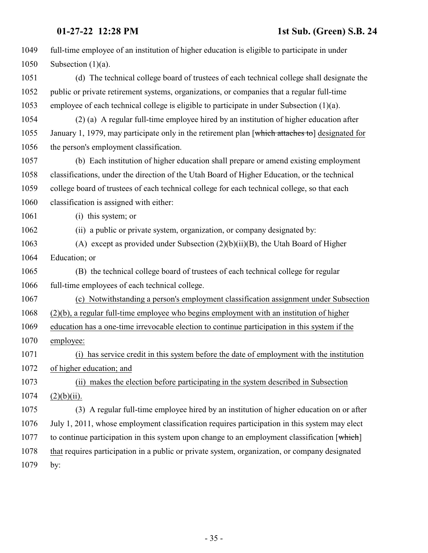| 1049 | full-time employee of an institution of higher education is eligible to participate in under    |
|------|-------------------------------------------------------------------------------------------------|
| 1050 | Subsection $(1)(a)$ .                                                                           |
| 1051 | (d) The technical college board of trustees of each technical college shall designate the       |
| 1052 | public or private retirement systems, organizations, or companies that a regular full-time      |
| 1053 | employee of each technical college is eligible to participate in under Subsection $(1)(a)$ .    |
| 1054 | (2) (a) A regular full-time employee hired by an institution of higher education after          |
| 1055 | January 1, 1979, may participate only in the retirement plan [which attaches to] designated for |
| 1056 | the person's employment classification.                                                         |
| 1057 | (b) Each institution of higher education shall prepare or amend existing employment             |
| 1058 | classifications, under the direction of the Utah Board of Higher Education, or the technical    |
| 1059 | college board of trustees of each technical college for each technical college, so that each    |
| 1060 | classification is assigned with either:                                                         |
| 1061 | (i) this system; or                                                                             |
| 1062 | (ii) a public or private system, organization, or company designated by:                        |
| 1063 | (A) except as provided under Subsection $(2)(b)(ii)(B)$ , the Utah Board of Higher              |
| 1064 | Education; or                                                                                   |
| 1065 | (B) the technical college board of trustees of each technical college for regular               |
| 1066 | full-time employees of each technical college.                                                  |
| 1067 | (c) Notwithstanding a person's employment classification assignment under Subsection            |
| 1068 | $(2)(b)$ , a regular full-time employee who begins employment with an institution of higher     |
| 1069 | education has a one-time irrevocable election to continue participation in this system if the   |
| 1070 | employee:                                                                                       |
| 1071 | (i) has service credit in this system before the date of employment with the institution        |
| 1072 | of higher education; and                                                                        |
| 1073 | (ii) makes the election before participating in the system described in Subsection              |
| 1074 | $(2)(b)(ii)$ .                                                                                  |
| 1075 | (3) A regular full-time employee hired by an institution of higher education on or after        |
| 1076 | July 1, 2011, whose employment classification requires participation in this system may elect   |
| 1077 | to continue participation in this system upon change to an employment classification [which]    |
| 1078 | that requires participation in a public or private system, organization, or company designated  |
| 1079 | by:                                                                                             |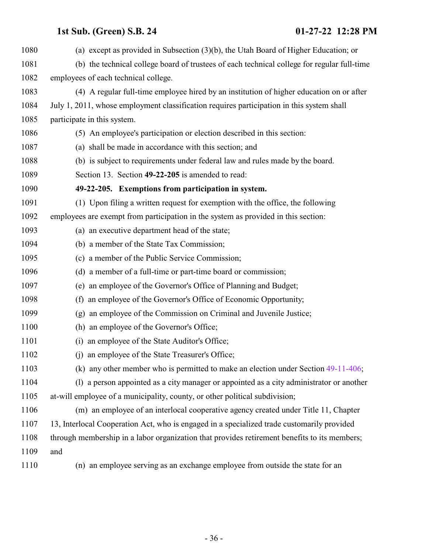<span id="page-35-0"></span>

| 1080 | (a) except as provided in Subsection $(3)(b)$ , the Utah Board of Higher Education; or       |
|------|----------------------------------------------------------------------------------------------|
| 1081 | (b) the technical college board of trustees of each technical college for regular full-time  |
| 1082 | employees of each technical college.                                                         |
| 1083 | (4) A regular full-time employee hired by an institution of higher education on or after     |
| 1084 | July 1, 2011, whose employment classification requires participation in this system shall    |
| 1085 | participate in this system.                                                                  |
| 1086 | (5) An employee's participation or election described in this section:                       |
| 1087 | (a) shall be made in accordance with this section; and                                       |
| 1088 | (b) is subject to requirements under federal law and rules made by the board.                |
| 1089 | Section 13. Section 49-22-205 is amended to read:                                            |
| 1090 | 49-22-205. Exemptions from participation in system.                                          |
| 1091 | (1) Upon filing a written request for exemption with the office, the following               |
| 1092 | employees are exempt from participation in the system as provided in this section:           |
| 1093 | (a) an executive department head of the state;                                               |
| 1094 | (b) a member of the State Tax Commission;                                                    |
| 1095 | (c) a member of the Public Service Commission;                                               |
| 1096 | (d) a member of a full-time or part-time board or commission;                                |
| 1097 | (e) an employee of the Governor's Office of Planning and Budget;                             |
| 1098 | an employee of the Governor's Office of Economic Opportunity;<br>(f)                         |
| 1099 | (g) an employee of the Commission on Criminal and Juvenile Justice;                          |
| 1100 | (h) an employee of the Governor's Office;                                                    |
| 1101 | an employee of the State Auditor's Office;<br>(i)                                            |
| 1102 | an employee of the State Treasurer's Office;<br>(i)                                          |
| 1103 | (k) any other member who is permitted to make an election under Section $49-11-406$ ;        |
| 1104 | (1) a person appointed as a city manager or appointed as a city administrator or another     |
| 1105 | at-will employee of a municipality, county, or other political subdivision;                  |
| 1106 | (m) an employee of an interlocal cooperative agency created under Title 11, Chapter          |
| 1107 | 13, Interlocal Cooperation Act, who is engaged in a specialized trade customarily provided   |
| 1108 | through membership in a labor organization that provides retirement benefits to its members; |
| 1109 | and                                                                                          |
| 1110 | (n) an employee serving as an exchange employee from outside the state for an                |
|      |                                                                                              |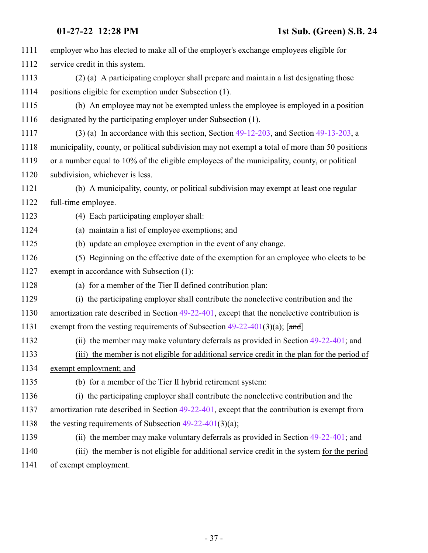| 1111 | employer who has elected to make all of the employer's exchange employees eligible for           |
|------|--------------------------------------------------------------------------------------------------|
| 1112 | service credit in this system.                                                                   |
| 1113 | (2) (a) A participating employer shall prepare and maintain a list designating those             |
| 1114 | positions eligible for exemption under Subsection (1).                                           |
| 1115 | (b) An employee may not be exempted unless the employee is employed in a position                |
| 1116 | designated by the participating employer under Subsection (1).                                   |
| 1117 | $(3)$ (a) In accordance with this section, Section 49-12-203, and Section 49-13-203, a           |
| 1118 | municipality, county, or political subdivision may not exempt a total of more than 50 positions  |
| 1119 | or a number equal to 10% of the eligible employees of the municipality, county, or political     |
| 1120 | subdivision, whichever is less.                                                                  |
| 1121 | (b) A municipality, county, or political subdivision may exempt at least one regular             |
| 1122 | full-time employee.                                                                              |
| 1123 | (4) Each participating employer shall:                                                           |
| 1124 | (a) maintain a list of employee exemptions; and                                                  |
| 1125 | (b) update an employee exemption in the event of any change.                                     |
| 1126 | (5) Beginning on the effective date of the exemption for an employee who elects to be            |
| 1127 | exempt in accordance with Subsection (1):                                                        |
| 1128 | (a) for a member of the Tier II defined contribution plan:                                       |
| 1129 | (i) the participating employer shall contribute the nonelective contribution and the             |
| 1130 | amortization rate described in Section $49-22-401$ , except that the nonelective contribution is |
| 1131 | exempt from the vesting requirements of Subsection $49-22-401(3)(a)$ ; [and]                     |
| 1132 | (ii) the member may make voluntary deferrals as provided in Section 49-22-401; and               |
| 1133 | (iii) the member is not eligible for additional service credit in the plan for the period of     |
| 1134 | exempt employment; and                                                                           |
| 1135 | (b) for a member of the Tier II hybrid retirement system:                                        |
| 1136 | (i) the participating employer shall contribute the nonelective contribution and the             |
| 1137 | amortization rate described in Section $49-22-401$ , except that the contribution is exempt from |
| 1138 | the vesting requirements of Subsection $49-22-401(3)(a)$ ;                                       |
| 1139 | (ii) the member may make voluntary deferrals as provided in Section $49-22-401$ ; and            |
| 1140 | (iii) the member is not eligible for additional service credit in the system for the period      |
| 1141 | of exempt employment.                                                                            |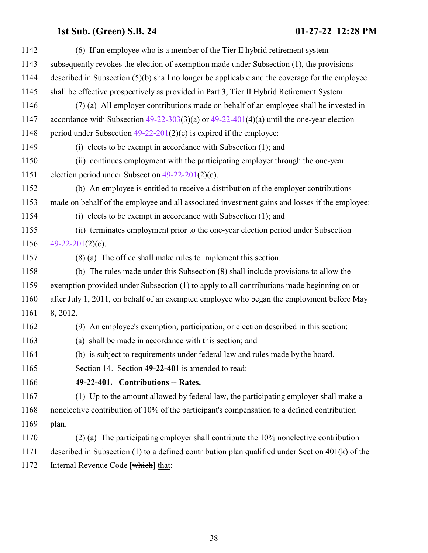<span id="page-37-0"></span>

| 1142 | (6) If an employee who is a member of the Tier II hybrid retirement system                           |
|------|------------------------------------------------------------------------------------------------------|
| 1143 | subsequently revokes the election of exemption made under Subsection (1), the provisions             |
| 1144 | described in Subsection $(5)(b)$ shall no longer be applicable and the coverage for the employee     |
| 1145 | shall be effective prospectively as provided in Part 3, Tier II Hybrid Retirement System.            |
| 1146 | (7) (a) All employer contributions made on behalf of an employee shall be invested in                |
| 1147 | accordance with Subsection $49-22-303(3)(a)$ or $49-22-401(4)(a)$ until the one-year election        |
| 1148 | period under Subsection $49-22-201(2)(c)$ is expired if the employee:                                |
| 1149 | $(i)$ elects to be exempt in accordance with Subsection $(1)$ ; and                                  |
| 1150 | (ii) continues employment with the participating employer through the one-year                       |
| 1151 | election period under Subsection $49-22-201(2)(c)$ .                                                 |
| 1152 | (b) An employee is entitled to receive a distribution of the employer contributions                  |
| 1153 | made on behalf of the employee and all associated investment gains and losses if the employee:       |
| 1154 | (i) elects to be exempt in accordance with Subsection $(1)$ ; and                                    |
| 1155 | (ii) terminates employment prior to the one-year election period under Subsection                    |
| 1156 | 49-22-201(2)(c).                                                                                     |
| 1157 | $(8)$ (a) The office shall make rules to implement this section.                                     |
| 1158 | (b) The rules made under this Subsection (8) shall include provisions to allow the                   |
| 1159 | exemption provided under Subsection (1) to apply to all contributions made beginning on or           |
| 1160 | after July 1, 2011, on behalf of an exempted employee who began the employment before May            |
| 1161 | 8, 2012.                                                                                             |
| 1162 | (9) An employee's exemption, participation, or election described in this section:                   |
| 1163 | (a) shall be made in accordance with this section; and                                               |
| 1164 | (b) is subject to requirements under federal law and rules made by the board.                        |
| 1165 | Section 14. Section 49-22-401 is amended to read:                                                    |
| 1166 | 49-22-401. Contributions -- Rates.                                                                   |
| 1167 | (1) Up to the amount allowed by federal law, the participating employer shall make a                 |
| 1168 | nonelective contribution of 10% of the participant's compensation to a defined contribution          |
| 1169 | plan.                                                                                                |
| 1170 | $(2)$ (a) The participating employer shall contribute the 10% nonelective contribution               |
| 1171 | described in Subsection $(1)$ to a defined contribution plan qualified under Section $401(k)$ of the |
| 1172 | Internal Revenue Code [which] that:                                                                  |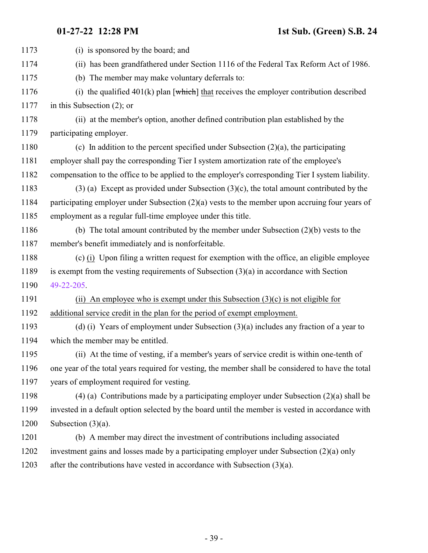| (i) is sponsored by the board; and                                                                   |
|------------------------------------------------------------------------------------------------------|
| (ii) has been grandfathered under Section 1116 of the Federal Tax Reform Act of 1986.                |
| (b) The member may make voluntary deferrals to:                                                      |
| (i) the qualified $401(k)$ plan [ $\text{which}$ ] that receives the employer contribution described |
| in this Subsection $(2)$ ; or                                                                        |
| (ii) at the member's option, another defined contribution plan established by the                    |
| participating employer.                                                                              |
| (c) In addition to the percent specified under Subsection $(2)(a)$ , the participating               |
| employer shall pay the corresponding Tier I system amortization rate of the employee's               |
| compensation to the office to be applied to the employer's corresponding Tier I system liability.    |
| $(3)$ (a) Except as provided under Subsection (3)(c), the total amount contributed by the            |
| participating employer under Subsection (2)(a) vests to the member upon accruing four years of       |
| employment as a regular full-time employee under this title.                                         |
| (b) The total amount contributed by the member under Subsection $(2)(b)$ vests to the                |
| member's benefit immediately and is nonforfeitable.                                                  |
| (c) (i) Upon filing a written request for exemption with the office, an eligible employee            |
| is exempt from the vesting requirements of Subsection $(3)(a)$ in accordance with Section            |
| 49-22-205.                                                                                           |
| (ii) An employee who is exempt under this Subsection $(3)(c)$ is not eligible for                    |
| additional service credit in the plan for the period of exempt employment.                           |
| (d) (i) Years of employment under Subsection $(3)(a)$ includes any fraction of a year to             |
| which the member may be entitled.                                                                    |
| (ii) At the time of vesting, if a member's years of service credit is within one-tenth of            |
| one year of the total years required for vesting, the member shall be considered to have the total   |
| years of employment required for vesting.                                                            |
| $(4)$ (a) Contributions made by a participating employer under Subsection $(2)(a)$ shall be          |
| invested in a default option selected by the board until the member is vested in accordance with     |
| Subsection $(3)(a)$ .                                                                                |
| (b) A member may direct the investment of contributions including associated                         |
| investment gains and losses made by a participating employer under Subsection (2)(a) only            |
| after the contributions have vested in accordance with Subsection $(3)(a)$ .                         |
|                                                                                                      |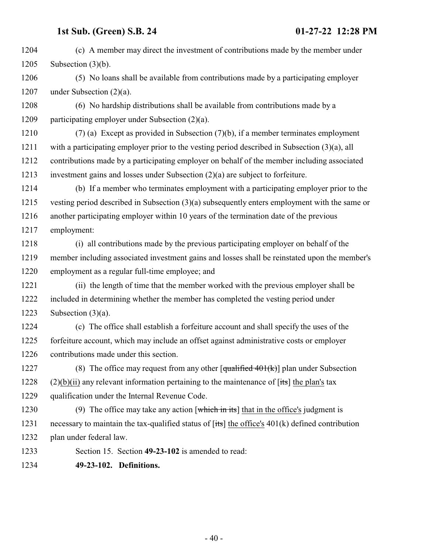(c) A member may direct the investment of contributions made by the member under Subsection (3)(b). (5) No loans shall be available from contributions made by a participating employer under Subsection (2)(a). (6) No hardship distributions shall be available from contributions made by a participating employer under Subsection (2)(a).

 (7) (a) Except as provided in Subsection (7)(b), if a member terminates employment with a participating employer prior to the vesting period described in Subsection (3)(a), all contributions made by a participating employer on behalf of the member including associated investment gains and losses under Subsection (2)(a) are subject to forfeiture.

 (b) If a member who terminates employment with a participating employer prior to the vesting period described in Subsection (3)(a) subsequently enters employment with the same or another participating employer within 10 years of the termination date of the previous employment:

 (i) all contributions made by the previous participating employer on behalf of the member including associated investment gains and losses shall be reinstated upon the member's employment as a regular full-time employee; and

 (ii) the length of time that the member worked with the previous employer shall be included in determining whether the member has completed the vesting period under 1223 Subsection  $(3)(a)$ .

 (c) The office shall establish a forfeiture account and shall specify the uses of the forfeiture account, which may include an offset against administrative costs or employer contributions made under this section.

1227 (8) The office may request from any other  $\lceil \frac{\text{qualified }401(k)}{\text{plan under Subsection}} \rceil$ 1228 (2)(b)(ii) any relevant information pertaining to the maintenance of  $[its]$  the plan's tax qualification under the Internal Revenue Code.

1230 (9) The office may take any action [which in its] that in the office's judgment is 1231 necessary to maintain the tax-qualified status of  $[its]$  the office's 401(k) defined contribution plan under federal law.

<span id="page-39-0"></span>Section 15. Section **49-23-102** is amended to read:

**49-23-102. Definitions.**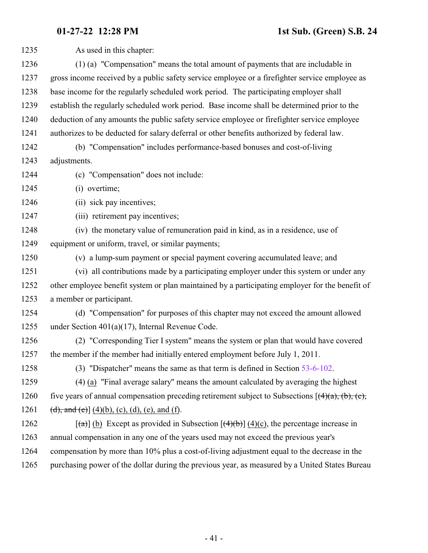As used in this chapter: (1) (a) "Compensation" means the total amount of payments that are includable in gross income received by a public safety service employee or a firefighter service employee as base income for the regularly scheduled work period. The participating employer shall establish the regularly scheduled work period. Base income shall be determined prior to the deduction of any amounts the public safety service employee or firefighter service employee authorizes to be deducted for salary deferral or other benefits authorized by federal law. (b) "Compensation" includes performance-based bonuses and cost-of-living adjustments. (c) "Compensation" does not include: (i) overtime; 1246 (ii) sick pay incentives; 1247 (iii) retirement pay incentives; (iv) the monetary value of remuneration paid in kind, as in a residence, use of equipment or uniform, travel, or similar payments; (v) a lump-sum payment or special payment covering accumulated leave; and (vi) all contributions made by a participating employer under this system or under any other employee benefit system or plan maintained by a participating employer for the benefit of a member or participant. (d) "Compensation" for purposes of this chapter may not exceed the amount allowed under Section 401(a)(17), Internal Revenue Code. (2) "Corresponding Tier I system" means the system or plan that would have covered the member if the member had initially entered employment before July 1, 2011. (3) "Dispatcher" means the same as that term is defined in Section [53-6-102](http://le.utah.gov/UtahCode/SectionLookup.jsp?section=53-6-102&session=2022GS). (4) (a) "Final average salary" means the amount calculated by averaging the highest 1260 five years of annual compensation preceding retirement subject to Subsections  $[(4)(a), (b), (c)]$ 1261 (d), and (e)] (4)(b), (c), (d), (e), and (f). 1262 [(a)] (b) Except as provided in Subsection  $[(4)(b)] (4)(c)$ , the percentage increase in annual compensation in any one of the years used may not exceed the previous year's compensation by more than 10% plus a cost-of-living adjustment equal to the decrease in the purchasing power of the dollar during the previous year, as measured by a United States Bureau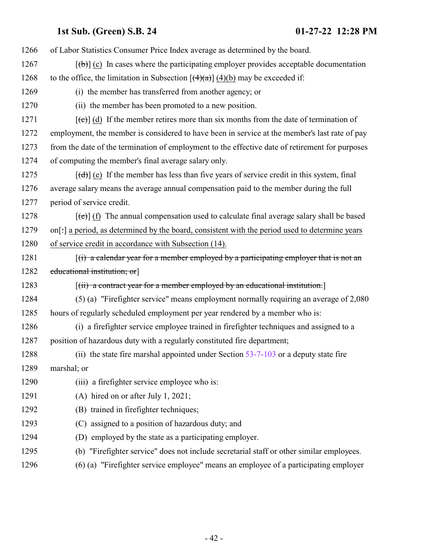| 1266 | of Labor Statistics Consumer Price Index average as determined by the board.                                         |
|------|----------------------------------------------------------------------------------------------------------------------|
| 1267 | $[\phi]$ (c) In cases where the participating employer provides acceptable documentation                             |
| 1268 | to the office, the limitation in Subsection $[(4)(a)]$ (4)(b) may be exceeded if:                                    |
| 1269 | (i) the member has transferred from another agency; or                                                               |
| 1270 | (ii) the member has been promoted to a new position.                                                                 |
| 1271 | $[\text{e}^{-\text{e}}]$ (d) If the member retires more than six months from the date of termination of              |
| 1272 | employment, the member is considered to have been in service at the member's last rate of pay                        |
| 1273 | from the date of the termination of employment to the effective date of retirement for purposes                      |
| 1274 | of computing the member's final average salary only.                                                                 |
| 1275 | $[\text{d} \cdot \text{d} \cdot]$ (e) If the member has less than five years of service credit in this system, final |
| 1276 | average salary means the average annual compensation paid to the member during the full                              |
| 1277 | period of service credit.                                                                                            |
| 1278 | $[\text{e}(\text{e})]$ (f) The annual compensation used to calculate final average salary shall be based             |
| 1279 | on[:] a period, as determined by the board, consistent with the period used to determine years                       |
| 1280 | of service credit in accordance with Subsection (14).                                                                |
| 1281 | $(i)$ a calendar year for a member employed by a participating employer that is not an                               |
| 1282 | educational institution; or                                                                                          |
| 1283 | $\left[\left(\text{ii}\right)$ a contract year for a member employed by an educational institution.                  |
| 1284 | (5) (a) "Firefighter service" means employment normally requiring an average of 2,080                                |
| 1285 | hours of regularly scheduled employment per year rendered by a member who is:                                        |
| 1286 | (i) a firefighter service employee trained in firefighter techniques and assigned to a                               |
| 1287 | position of hazardous duty with a regularly constituted fire department;                                             |
| 1288 | (ii) the state fire marshal appointed under Section 53-7-103 or a deputy state fire                                  |
| 1289 | marshal; or                                                                                                          |
| 1290 | (iii) a firefighter service employee who is:                                                                         |
| 1291 | (A) hired on or after July 1, 2021;                                                                                  |
| 1292 | (B) trained in firefighter techniques;                                                                               |
| 1293 | (C) assigned to a position of hazardous duty; and                                                                    |
| 1294 | employed by the state as a participating employer.<br>(D)                                                            |
| 1295 | (b) "Firefighter service" does not include secretarial staff or other similar employees.                             |
| 1296 | (6) (a) "Firefighter service employee" means an employee of a participating employer                                 |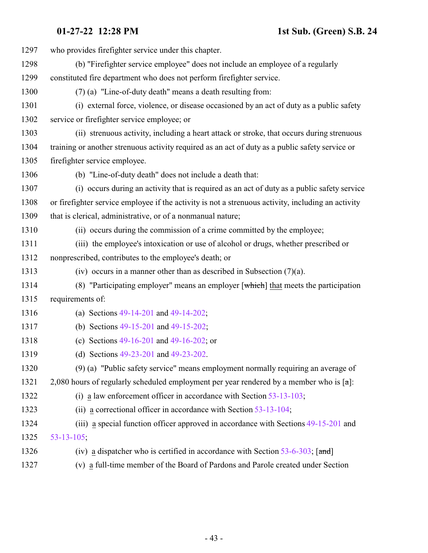| 1297 | who provides firefighter service under this chapter.                                                |
|------|-----------------------------------------------------------------------------------------------------|
| 1298 | (b) "Firefighter service employee" does not include an employee of a regularly                      |
| 1299 | constituted fire department who does not perform firefighter service.                               |
| 1300 | (7) (a) "Line-of-duty death" means a death resulting from:                                          |
| 1301 | (i) external force, violence, or disease occasioned by an act of duty as a public safety            |
| 1302 | service or firefighter service employee; or                                                         |
| 1303 | (ii) strenuous activity, including a heart attack or stroke, that occurs during strenuous           |
| 1304 | training or another strenuous activity required as an act of duty as a public safety service or     |
| 1305 | firefighter service employee.                                                                       |
| 1306 | (b) "Line-of-duty death" does not include a death that:                                             |
| 1307 | (i) occurs during an activity that is required as an act of duty as a public safety service         |
| 1308 | or firefighter service employee if the activity is not a strenuous activity, including an activity  |
| 1309 | that is clerical, administrative, or of a nonmanual nature;                                         |
| 1310 | (ii) occurs during the commission of a crime committed by the employee;                             |
| 1311 | (iii) the employee's intoxication or use of alcohol or drugs, whether prescribed or                 |
| 1312 | nonprescribed, contributes to the employee's death; or                                              |
| 1313 | (iv) occurs in a manner other than as described in Subsection $(7)(a)$ .                            |
| 1314 | (8) "Participating employer" means an employer $\lceil$ which $\rceil$ that meets the participation |
| 1315 | requirements of:                                                                                    |
| 1316 | (a) Sections 49-14-201 and 49-14-202;                                                               |
| 1317 | (b) Sections 49-15-201 and 49-15-202;                                                               |
| 1318 | (c) Sections $49-16-201$ and $49-16-202$ ; or                                                       |
| 1319 | (d) Sections 49-23-201 and 49-23-202.                                                               |
| 1320 | (9) (a) "Public safety service" means employment normally requiring an average of                   |
| 1321 | 2,080 hours of regularly scheduled employment per year rendered by a member who is $[\pi]$ :        |
| 1322 | (i) a law enforcement officer in accordance with Section $53-13-103$ ;                              |
| 1323 | (ii) a correctional officer in accordance with Section $53-13-104$ ;                                |
| 1324 | (iii) a special function officer approved in accordance with Sections 49-15-201 and                 |
| 1325 | $53 - 13 - 105$ ;                                                                                   |
| 1326 | (iv) a dispatcher who is certified in accordance with Section $53-6-303$ ; [and]                    |
| 1327 | (v) a full-time member of the Board of Pardons and Parole created under Section                     |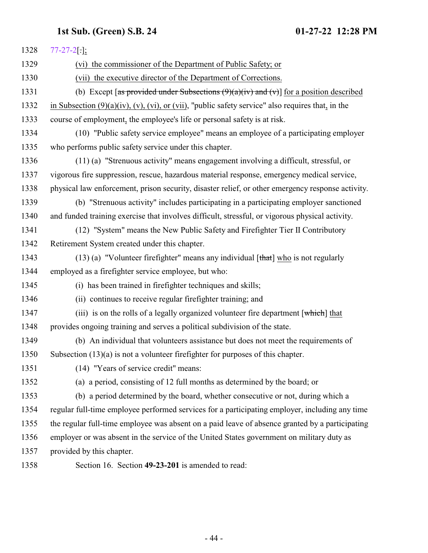<span id="page-43-0"></span>

| 1328 | $77 - 27 - 2$ [.];                                                                                            |
|------|---------------------------------------------------------------------------------------------------------------|
| 1329 | (vi) the commissioner of the Department of Public Safety; or                                                  |
| 1330 | (vii) the executive director of the Department of Corrections.                                                |
| 1331 | (b) Except [as provided under Subsections $(9)(a)(iv)$ and $(v)$ ] for a position described                   |
| 1332 | in Subsection $(9)(a)(iv)$ , $(v)$ , $(vi)$ , or $(vii)$ , "public safety service" also requires that, in the |
| 1333 | course of employment, the employee's life or personal safety is at risk.                                      |
| 1334 | (10) "Public safety service employee" means an employee of a participating employer                           |
| 1335 | who performs public safety service under this chapter.                                                        |
| 1336 | (11) (a) "Strenuous activity" means engagement involving a difficult, stressful, or                           |
| 1337 | vigorous fire suppression, rescue, hazardous material response, emergency medical service,                    |
| 1338 | physical law enforcement, prison security, disaster relief, or other emergency response activity.             |
| 1339 | (b) "Strenuous activity" includes participating in a participating employer sanctioned                        |
| 1340 | and funded training exercise that involves difficult, stressful, or vigorous physical activity.               |
| 1341 | (12) "System" means the New Public Safety and Firefighter Tier II Contributory                                |
| 1342 | Retirement System created under this chapter.                                                                 |
| 1343 | $(13)$ (a) "Volunteer firefighter" means any individual [that] who is not regularly                           |
| 1344 | employed as a firefighter service employee, but who:                                                          |
| 1345 | (i) has been trained in firefighter techniques and skills;                                                    |
| 1346 | (ii) continues to receive regular firefighter training; and                                                   |
| 1347 | (iii) is on the rolls of a legally organized volunteer fire department $\lceil$ which $\rceil$ that           |
| 1348 | provides ongoing training and serves a political subdivision of the state.                                    |
| 1349 | (b) An individual that volunteers assistance but does not meet the requirements of                            |
| 1350 | Subsection $(13)(a)$ is not a volunteer firefighter for purposes of this chapter.                             |
| 1351 | (14) "Years of service credit" means:                                                                         |
| 1352 | (a) a period, consisting of 12 full months as determined by the board; or                                     |
| 1353 | (b) a period determined by the board, whether consecutive or not, during which a                              |
| 1354 | regular full-time employee performed services for a participating employer, including any time                |
| 1355 | the regular full-time employee was absent on a paid leave of absence granted by a participating               |
| 1356 | employer or was absent in the service of the United States government on military duty as                     |
| 1357 | provided by this chapter.                                                                                     |
| 1358 | Section 16. Section 49-23-201 is amended to read:                                                             |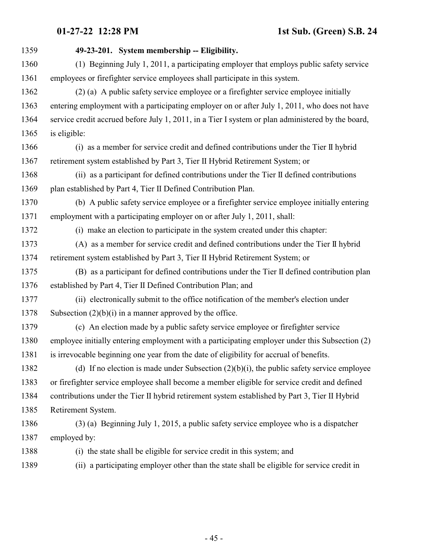| 1359 | 49-23-201. System membership -- Eligibility.                                                      |
|------|---------------------------------------------------------------------------------------------------|
| 1360 | (1) Beginning July 1, 2011, a participating employer that employs public safety service           |
| 1361 | employees or firefighter service employees shall participate in this system.                      |
| 1362 | (2) (a) A public safety service employee or a firefighter service employee initially              |
| 1363 | entering employment with a participating employer on or after July 1, 2011, who does not have     |
| 1364 | service credit accrued before July 1, 2011, in a Tier I system or plan administered by the board, |
| 1365 | is eligible:                                                                                      |
| 1366 | (i) as a member for service credit and defined contributions under the Tier II hybrid             |
| 1367 | retirement system established by Part 3, Tier II Hybrid Retirement System; or                     |
| 1368 | (ii) as a participant for defined contributions under the Tier II defined contributions           |
| 1369 | plan established by Part 4, Tier II Defined Contribution Plan.                                    |
| 1370 | (b) A public safety service employee or a firefighter service employee initially entering         |
| 1371 | employment with a participating employer on or after July 1, 2011, shall:                         |
| 1372 | (i) make an election to participate in the system created under this chapter:                     |
| 1373 | (A) as a member for service credit and defined contributions under the Tier II hybrid             |
| 1374 | retirement system established by Part 3, Tier II Hybrid Retirement System; or                     |
| 1375 | (B) as a participant for defined contributions under the Tier II defined contribution plan        |
| 1376 | established by Part 4, Tier II Defined Contribution Plan; and                                     |
| 1377 | (ii) electronically submit to the office notification of the member's election under              |
| 1378 | Subsection $(2)(b)(i)$ in a manner approved by the office.                                        |
| 1379 | (c) An election made by a public safety service employee or firefighter service                   |
| 1380 | employee initially entering employment with a participating employer under this Subsection (2)    |
| 1381 | is irrevocable beginning one year from the date of eligibility for accrual of benefits.           |
| 1382 | (d) If no election is made under Subsection $(2)(b)(i)$ , the public safety service employee      |
| 1383 | or firefighter service employee shall become a member eligible for service credit and defined     |
| 1384 | contributions under the Tier II hybrid retirement system established by Part 3, Tier II Hybrid    |
| 1385 | Retirement System.                                                                                |
| 1386 | $(3)$ (a) Beginning July 1, 2015, a public safety service employee who is a dispatcher            |
| 1387 | employed by:                                                                                      |
| 1388 | (i) the state shall be eligible for service credit in this system; and                            |
| 1389 | a participating employer other than the state shall be eligible for service credit in<br>(i)      |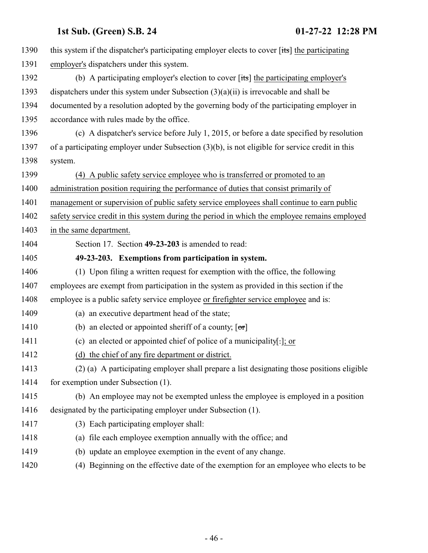<span id="page-45-0"></span>

| 1390 | this system if the dispatcher's participating employer elects to cover $[t\ddot{\bm{\cdot}}\text{st}]$ the participating |
|------|--------------------------------------------------------------------------------------------------------------------------|
| 1391 | employer's dispatchers under this system.                                                                                |
| 1392 | (b) A participating employer's election to cover $[t\ddot{\mathbf{x}}]$ the participating employer's                     |
| 1393 | dispatchers under this system under Subsection $(3)(a)(ii)$ is irrevocable and shall be                                  |
| 1394 | documented by a resolution adopted by the governing body of the participating employer in                                |
| 1395 | accordance with rules made by the office.                                                                                |
| 1396 | (c) A dispatcher's service before July 1, 2015, or before a date specified by resolution                                 |
| 1397 | of a participating employer under Subsection (3)(b), is not eligible for service credit in this                          |
| 1398 | system.                                                                                                                  |
| 1399 | (4) A public safety service employee who is transferred or promoted to an                                                |
| 1400 | administration position requiring the performance of duties that consist primarily of                                    |
| 1401 | management or supervision of public safety service employees shall continue to earn public                               |
| 1402 | safety service credit in this system during the period in which the employee remains employed                            |
| 1403 | in the same department.                                                                                                  |
| 1404 | Section 17. Section 49-23-203 is amended to read:                                                                        |
| 1405 | 49-23-203. Exemptions from participation in system.                                                                      |
| 1406 | (1) Upon filing a written request for exemption with the office, the following                                           |
| 1407 | employees are exempt from participation in the system as provided in this section if the                                 |
| 1408 | employee is a public safety service employee or firefighter service employee and is:                                     |
| 1409 | (a) an executive department head of the state;                                                                           |
| 1410 | (b) an elected or appointed sheriff of a county; $[\sigma r]$                                                            |
| 1411 | (c) an elected or appointed chief of police of a municipality[ $:$ ]; or                                                 |
| 1412 | (d) the chief of any fire department or district.                                                                        |
| 1413 | (2) (a) A participating employer shall prepare a list designating those positions eligible                               |
| 1414 | for exemption under Subsection (1).                                                                                      |
| 1415 | (b) An employee may not be exempted unless the employee is employed in a position                                        |
| 1416 | designated by the participating employer under Subsection (1).                                                           |
| 1417 | (3) Each participating employer shall:                                                                                   |
| 1418 | (a) file each employee exemption annually with the office; and                                                           |
| 1419 | (b) update an employee exemption in the event of any change.                                                             |
| 1420 | (4) Beginning on the effective date of the exemption for an employee who elects to be                                    |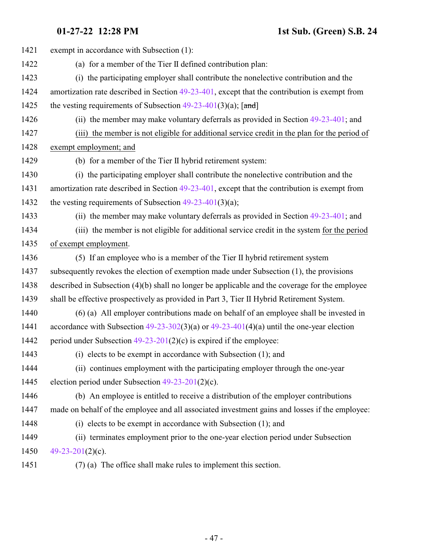| 1421 | exempt in accordance with Subsection (1):                                                      |
|------|------------------------------------------------------------------------------------------------|
| 1422 | (a) for a member of the Tier II defined contribution plan:                                     |
| 1423 | (i) the participating employer shall contribute the nonelective contribution and the           |
| 1424 | amortization rate described in Section 49-23-401, except that the contribution is exempt from  |
| 1425 | the vesting requirements of Subsection $49-23-401(3)(a)$ ; [and]                               |
| 1426 | (ii) the member may make voluntary deferrals as provided in Section 49-23-401; and             |
| 1427 | (iii) the member is not eligible for additional service credit in the plan for the period of   |
| 1428 | exempt employment; and                                                                         |
| 1429 | (b) for a member of the Tier II hybrid retirement system:                                      |
| 1430 | (i) the participating employer shall contribute the nonelective contribution and the           |
| 1431 | amortization rate described in Section 49-23-401, except that the contribution is exempt from  |
| 1432 | the vesting requirements of Subsection $49-23-401(3)(a)$ ;                                     |
| 1433 | (ii) the member may make voluntary deferrals as provided in Section $49-23-401$ ; and          |
| 1434 | (iii) the member is not eligible for additional service credit in the system for the period    |
| 1435 | of exempt employment.                                                                          |
| 1436 | (5) If an employee who is a member of the Tier II hybrid retirement system                     |
| 1437 | subsequently revokes the election of exemption made under Subsection (1), the provisions       |
| 1438 | described in Subsection (4)(b) shall no longer be applicable and the coverage for the employee |
| 1439 | shall be effective prospectively as provided in Part 3, Tier II Hybrid Retirement System.      |
| 1440 | (6) (a) All employer contributions made on behalf of an employee shall be invested in          |
| 1441 | accordance with Subsection $49-23-302(3)(a)$ or $49-23-401(4)(a)$ until the one-year election  |
| 1442 | period under Subsection $49-23-201(2)(c)$ is expired if the employee:                          |
| 1443 | (i) elects to be exempt in accordance with Subsection (1); and                                 |
| 1444 | (ii) continues employment with the participating employer through the one-year                 |
| 1445 | election period under Subsection $49-23-201(2)(c)$ .                                           |
| 1446 | (b) An employee is entitled to receive a distribution of the employer contributions            |
| 1447 | made on behalf of the employee and all associated investment gains and losses if the employee: |
| 1448 | $(i)$ elects to be exempt in accordance with Subsection $(1)$ ; and                            |
| 1449 | (ii) terminates employment prior to the one-year election period under Subsection              |
| 1450 | 49-23-201 $(2)(c)$ .                                                                           |
| 1451 | (7) (a) The office shall make rules to implement this section.                                 |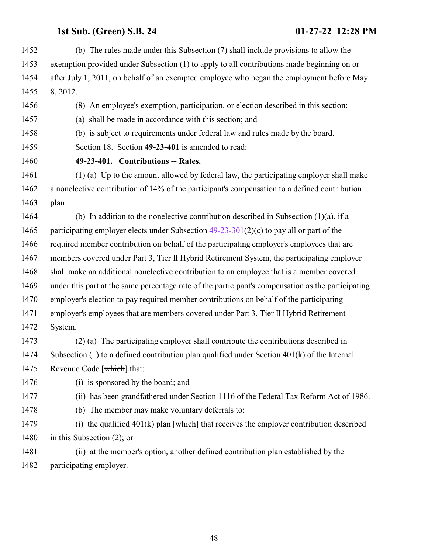<span id="page-47-0"></span>

| 1452 | (b) The rules made under this Subsection (7) shall include provisions to allow the                 |
|------|----------------------------------------------------------------------------------------------------|
| 1453 | exemption provided under Subsection (1) to apply to all contributions made beginning on or         |
| 1454 | after July 1, 2011, on behalf of an exempted employee who began the employment before May          |
| 1455 | 8, 2012.                                                                                           |
| 1456 | (8) An employee's exemption, participation, or election described in this section:                 |
| 1457 | shall be made in accordance with this section; and<br>(a)                                          |
| 1458 | (b) is subject to requirements under federal law and rules made by the board.                      |
| 1459 | Section 18. Section 49-23-401 is amended to read:                                                  |
| 1460 | 49-23-401. Contributions -- Rates.                                                                 |
| 1461 | (1) (a) Up to the amount allowed by federal law, the participating employer shall make             |
| 1462 | a nonelective contribution of 14% of the participant's compensation to a defined contribution      |
| 1463 | plan.                                                                                              |
| 1464 | (b) In addition to the nonelective contribution described in Subsection $(1)(a)$ , if a            |
| 1465 | participating employer elects under Subsection $49-23-301(2)(c)$ to pay all or part of the         |
| 1466 | required member contribution on behalf of the participating employer's employees that are          |
| 1467 | members covered under Part 3, Tier II Hybrid Retirement System, the participating employer         |
| 1468 | shall make an additional nonelective contribution to an employee that is a member covered          |
| 1469 | under this part at the same percentage rate of the participant's compensation as the participating |
| 1470 | employer's election to pay required member contributions on behalf of the participating            |
| 1471 | employer's employees that are members covered under Part 3, Tier II Hybrid Retirement              |
| 1472 | System.                                                                                            |
| 1473 | (2) (a) The participating employer shall contribute the contributions described in                 |
| 1474 | Subsection $(1)$ to a defined contribution plan qualified under Section $401(k)$ of the Internal   |
| 1475 | Revenue Code [which] that:                                                                         |
| 1476 | (i) is sponsored by the board; and                                                                 |
| 1477 | (ii) has been grandfathered under Section 1116 of the Federal Tax Reform Act of 1986.              |
| 1478 | (b) The member may make voluntary deferrals to:                                                    |
| 1479 | (i) the qualified $401(k)$ plan [which] that receives the employer contribution described          |
| 1480 | in this Subsection $(2)$ ; or                                                                      |
| 1481 | (ii) at the member's option, another defined contribution plan established by the                  |
| 1482 | participating employer.                                                                            |
|      |                                                                                                    |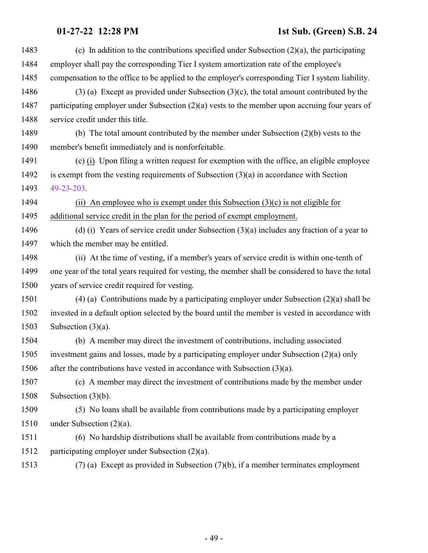| 1483 | (c) In addition to the contributions specified under Subsection $(2)(a)$ , the participating       |
|------|----------------------------------------------------------------------------------------------------|
| 1484 | employer shall pay the corresponding Tier I system amortization rate of the employee's             |
| 1485 | compensation to the office to be applied to the employer's corresponding Tier I system liability.  |
| 1486 | $(3)$ (a) Except as provided under Subsection $(3)(c)$ , the total amount contributed by the       |
| 1487 | participating employer under Subsection $(2)(a)$ vests to the member upon accruing four years of   |
| 1488 | service credit under this title.                                                                   |
| 1489 | (b) The total amount contributed by the member under Subsection $(2)(b)$ vests to the              |
| 1490 | member's benefit immediately and is nonforfeitable.                                                |
| 1491 | (c) $(i)$ Upon filing a written request for exemption with the office, an eligible employee        |
| 1492 | is exempt from the vesting requirements of Subsection $(3)(a)$ in accordance with Section          |
| 1493 | 49-23-203.                                                                                         |
| 1494 | (ii) An employee who is exempt under this Subsection $(3)(c)$ is not eligible for                  |
| 1495 | additional service credit in the plan for the period of exempt employment.                         |
| 1496 | (d) (i) Years of service credit under Subsection $(3)(a)$ includes any fraction of a year to       |
| 1497 | which the member may be entitled.                                                                  |
| 1498 | (ii) At the time of vesting, if a member's years of service credit is within one-tenth of          |
| 1499 | one year of the total years required for vesting, the member shall be considered to have the total |
| 1500 | years of service credit required for vesting.                                                      |
| 1501 | $(4)$ (a) Contributions made by a participating employer under Subsection $(2)(a)$ shall be        |
| 1502 | invested in a default option selected by the board until the member is vested in accordance with   |
| 1503 | Subsection $(3)(a)$ .                                                                              |
| 1504 | (b) A member may direct the investment of contributions, including associated                      |
| 1505 | investment gains and losses, made by a participating employer under Subsection (2)(a) only         |
| 1506 | after the contributions have vested in accordance with Subsection $(3)(a)$ .                       |
| 1507 | (c) A member may direct the investment of contributions made by the member under                   |
| 1508 | Subsection $(3)(b)$ .                                                                              |
| 1509 | (5) No loans shall be available from contributions made by a participating employer                |
| 1510 | under Subsection $(2)(a)$ .                                                                        |
| 1511 | (6) No hardship distributions shall be available from contributions made by a                      |
| 1512 | participating employer under Subsection (2)(a).                                                    |
| 1513 | $(7)$ (a) Except as provided in Subsection $(7)(b)$ , if a member terminates employment            |
|      |                                                                                                    |